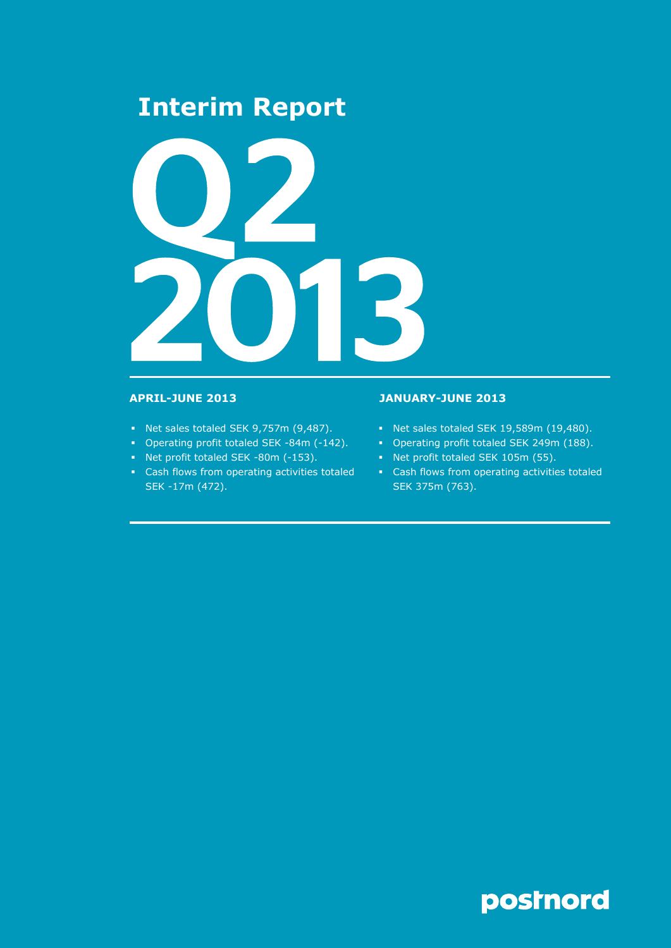# **Interim Report**



- Net sales totaled SEK 9,757m (9,487).
- Operating profit totaled SEK -84m (-142).
- Net profit totaled SEK -80m (-153).
- Cash flows from operating activities totaled SEK -17m (472).

# **APRIL-JUNE 2013 JANUARY-JUNE 2013**

- Net sales totaled SEK 19,589m (19,480).
- Operating profit totaled SEK 249m (188).
- Net profit totaled SEK 105m (55).
- Cash flows from operating activities totaled SEK 375m (763).

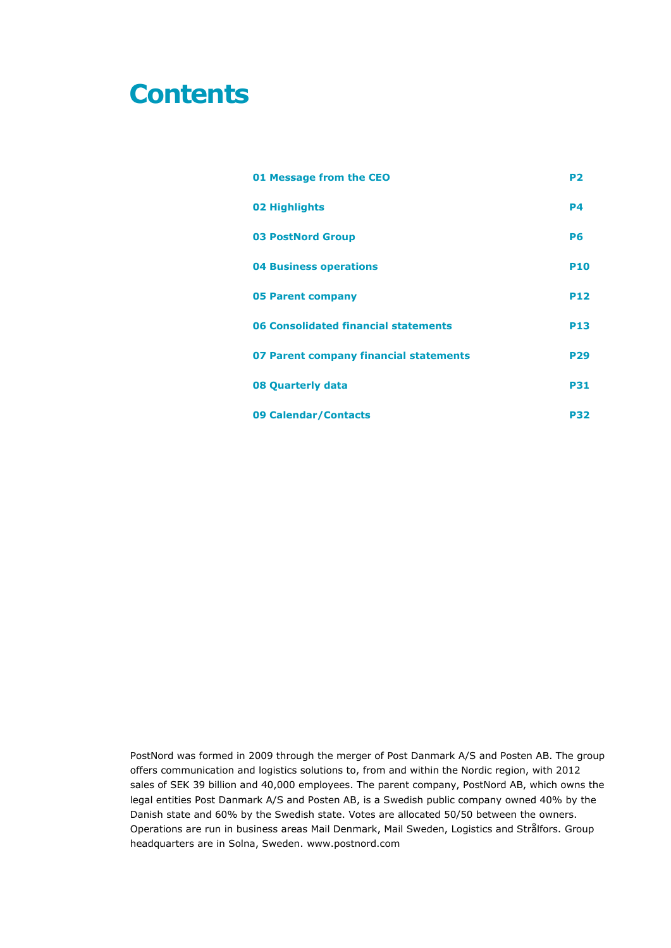# **Contents**

| 01 Message from the CEO                | P <sub>2</sub> |
|----------------------------------------|----------------|
| 02 Highlights                          | <b>P4</b>      |
| <b>03 PostNord Group</b>               | <b>P6</b>      |
| <b>04 Business operations</b>          | <b>P10</b>     |
| <b>05 Parent company</b>               | <b>P12</b>     |
| 06 Consolidated financial statements   | <b>P13</b>     |
| 07 Parent company financial statements | <b>P29</b>     |
| 08 Quarterly data                      | <b>P31</b>     |
| 09 Calendar/Contacts                   | P32            |

PostNord was formed in 2009 through the merger of Post Danmark A/S and Posten AB. The group offers communication and logistics solutions to, from and within the Nordic region, with 2012 sales of SEK 39 billion and 40,000 employees. The parent company, PostNord AB, which owns the legal entities Post Danmark A/S and Posten AB, is a Swedish public company owned 40% by the Danish state and 60% by the Swedish state. Votes are allocated 50/50 between the owners. Operations are run in business areas Mail Denmark, Mail Sweden, Logistics and Strålfors. Group headquarters are in Solna, Sweden. www.postnord.com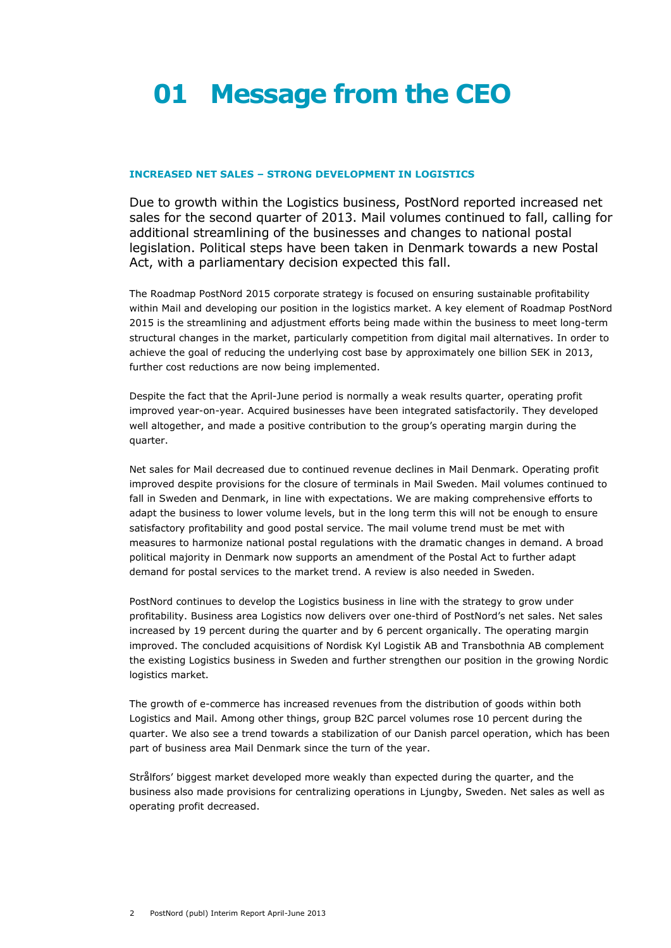# **01 Message from the CEO**

# **INCREASED NET SALES – STRONG DEVELOPMENT IN LOGISTICS**

Due to growth within the Logistics business, PostNord reported increased net sales for the second quarter of 2013. Mail volumes continued to fall, calling for additional streamlining of the businesses and changes to national postal legislation. Political steps have been taken in Denmark towards a new Postal Act, with a parliamentary decision expected this fall.

The Roadmap PostNord 2015 corporate strategy is focused on ensuring sustainable profitability within Mail and developing our position in the logistics market. A key element of Roadmap PostNord 2015 is the streamlining and adjustment efforts being made within the business to meet long-term structural changes in the market, particularly competition from digital mail alternatives. In order to achieve the goal of reducing the underlying cost base by approximately one billion SEK in 2013, further cost reductions are now being implemented.

Despite the fact that the April-June period is normally a weak results quarter, operating profit improved year-on-year. Acquired businesses have been integrated satisfactorily. They developed well altogether, and made a positive contribution to the group's operating margin during the quarter.

Net sales for Mail decreased due to continued revenue declines in Mail Denmark. Operating profit improved despite provisions for the closure of terminals in Mail Sweden. Mail volumes continued to fall in Sweden and Denmark, in line with expectations. We are making comprehensive efforts to adapt the business to lower volume levels, but in the long term this will not be enough to ensure satisfactory profitability and good postal service. The mail volume trend must be met with measures to harmonize national postal regulations with the dramatic changes in demand. A broad political majority in Denmark now supports an amendment of the Postal Act to further adapt demand for postal services to the market trend. A review is also needed in Sweden.

PostNord continues to develop the Logistics business in line with the strategy to grow under profitability. Business area Logistics now delivers over one-third of PostNord's net sales. Net sales increased by 19 percent during the quarter and by 6 percent organically. The operating margin improved. The concluded acquisitions of Nordisk Kyl Logistik AB and Transbothnia AB complement the existing Logistics business in Sweden and further strengthen our position in the growing Nordic logistics market.

The growth of e-commerce has increased revenues from the distribution of goods within both Logistics and Mail. Among other things, group B2C parcel volumes rose 10 percent during the quarter. We also see a trend towards a stabilization of our Danish parcel operation, which has been part of business area Mail Denmark since the turn of the year.

Strålfors' biggest market developed more weakly than expected during the quarter, and the business also made provisions for centralizing operations in Ljungby, Sweden. Net sales as well as operating profit decreased.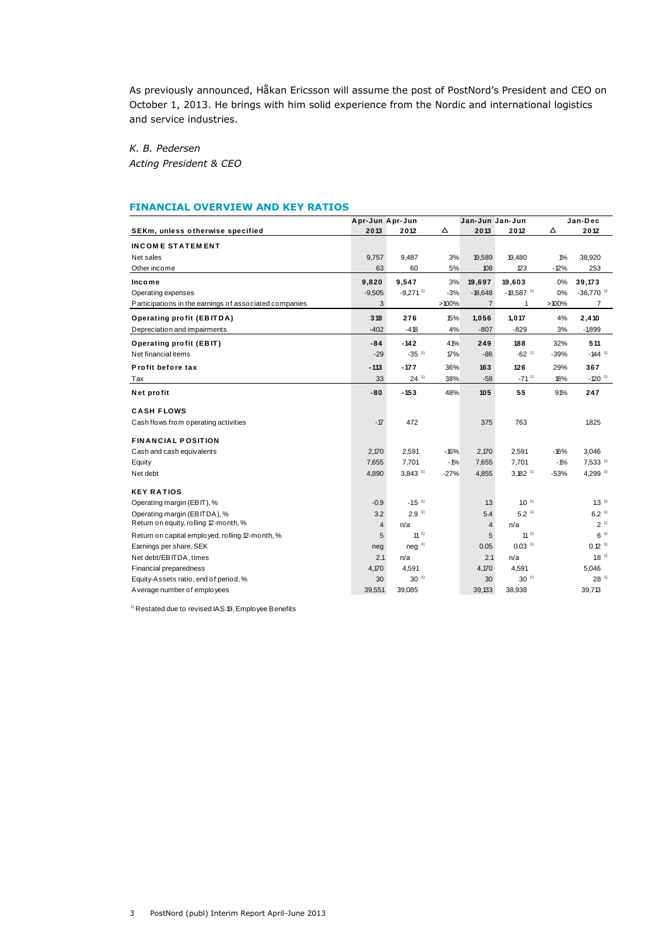As previously announced, Håkan Ericsson will assume the post of PostNord's President and CEO on October 1, 2013. He brings with him solid experience from the Nordic and international logistics and service industries.

*K. B. Pedersen Acting President & CEO*

|                                                        | Apr-Jun Apr-Jun |                        |        | Jan-Jun Jan-Jun |                         |          | Jan-Dec                 |
|--------------------------------------------------------|-----------------|------------------------|--------|-----------------|-------------------------|----------|-------------------------|
| SEKm, unless otherwise specified                       | 2013            | 2012                   | Δ      | 2013            | 2012                    | Δ        | 2012                    |
| <b>INCOME STATEMENT</b>                                |                 |                        |        |                 |                         |          |                         |
| Net sales                                              | 9,757           | 9,487                  | 3%     | 19,589          | 19,480                  | 1%       | 38,920                  |
| Other income                                           | 63              | 60                     | 5%     | 108             | 123                     | $-12%$   | 253                     |
| Income                                                 | 9,820           | 9,547                  | 3%     | 19,697          | 19,603                  | 0%       | 39,173                  |
| Operating expenses                                     | $-9,505$        | $-9,271$ <sup>1)</sup> | $-3%$  | $-18,648$       | $-18,587$ <sup>1)</sup> | 0%       | $-36,770$ <sup>1)</sup> |
| Participations in the earnings of associated companies | 3               |                        | >100%  | $\overline{7}$  | 1                       | $>100\%$ | $\overline{7}$          |
| <b>Operating profit (EBITDA)</b>                       | 318             | 276                    | 15%    | 1,056           | 1,017                   | 4%       | 2,410                   |
| Depreciation and impairments                           | $-402$          | $-418$                 | 4%     | $-807$          | $-829$                  | 3%       | $-1,899$                |
| <b>Operating profit (EBIT)</b>                         | -84             | $-142$                 | 41%    | 249             | 188                     | 32%      | 511                     |
| Net financial items                                    | $-29$           | $-35$ <sup>1)</sup>    | 17%    | $-86$           | $-62$ <sup>1)</sup>     | $-39%$   | $-144$ <sup>1)</sup>    |
| Profit before tax                                      | $-113$          | $-177$                 | 36%    | 163             | 126                     | 29%      | 367                     |
| Tax                                                    | 33              | $24^{11}$              | 38%    | $-58$           | $-71^{11}$              | 18%      | $-120$ <sup>1)</sup>    |
| Net profit                                             | -80             | $-153$                 | 48%    | 105             | 55                      | 91%      | 247                     |
| <b>CASH FLOWS</b>                                      |                 |                        |        |                 |                         |          |                         |
| Cash flows from operating activities                   | $-17$           | 472                    |        | 375             | 763                     |          | 1,825                   |
| <b>FINANCIAL POSITION</b>                              |                 |                        |        |                 |                         |          |                         |
| Cash and cash equivalents                              | 2,170           | 2,591                  | $-16%$ | 2,170           | 2,591                   | $-16%$   | 3,046                   |
| Equity                                                 | 7,655           | 7,701                  | $-1%$  | 7,655           | 7,701                   | $-1%$    | $7,533$ <sup>1)</sup>   |
| Net debt                                               | 4.890           | $3.843$ <sup>1)</sup>  | $-27%$ | 4,855           | $3.182^{11}$            | $-53%$   | $4.299^{11}$            |
| <b>KEY RATIOS</b>                                      |                 |                        |        |                 |                         |          |                         |
| Operating margin (EBIT), %                             | $-0.9$          | $-1.5$ <sup>1)</sup>   |        | 1.3             | $1.0-1$                 |          | $1.3-1$                 |
| Operating margin (EBITDA), %                           | 3.2             | 2.9 <sup>1</sup>       |        | 5.4             | 5.2 <sup>1</sup>        |          | 6.2 <sup>1</sup>        |
| Return on equity, rolling 12-month, %                  | $\overline{4}$  | n/a                    |        | $\overline{4}$  | n/a                     |          | 2 <sup>1</sup>          |
| Return on capital employed, rolling 12-month, %        | 5               | 11 <sup>1</sup>        |        | 5               | 11 <sup>1</sup>         |          | $6^{-1}$                |
| Earnings per share, SEK                                | neg             | neg <sup>1</sup>       |        | 0.05            | $0.03-1$                |          | $0.12$ <sup>1)</sup>    |
| Net debt/EBITDA, times                                 | 2.1             | n/a                    |        | 2.1             | n/a                     |          | $18^{-1}$               |
| Financial preparedness                                 | 4,170           | 4,591                  |        | 4,170           | 4,591                   |          | 5.046                   |
| Equity-Assets ratio, end of period, %                  | 30              | $30^{-1}$              |        | 30              | $30^{-1}$               |          | 28 <sup>1</sup>         |
| Average number of employees                            | 39,551          | 39,085                 |        | 39,133          | 38,938                  |          | 39,713                  |

 $1)$  Restated due to revised IAS 19, Employee Benefits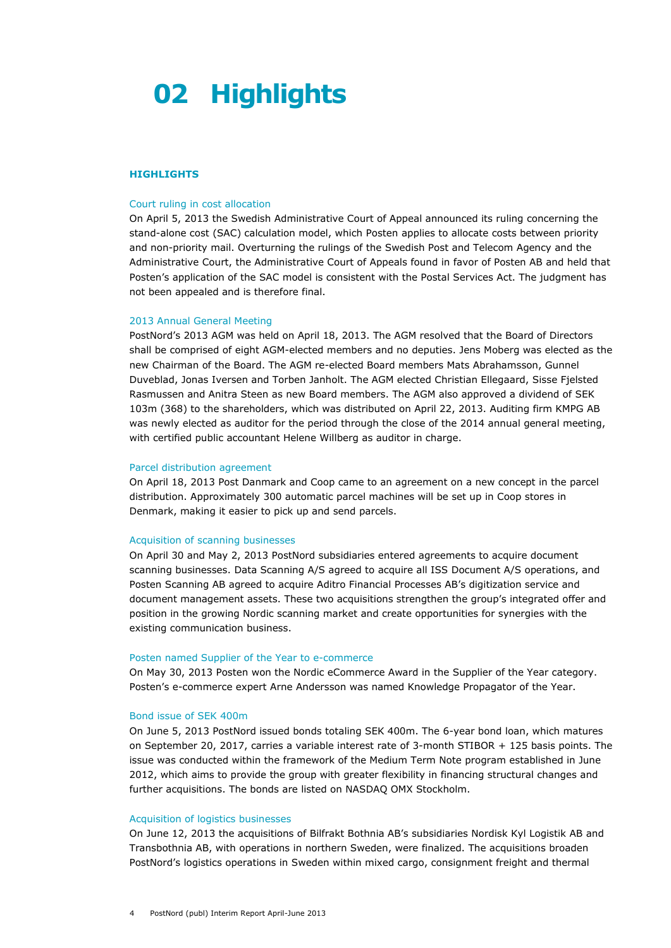# **02 Highlights**

#### **HIGHLIGHTS**

#### Court ruling in cost allocation

On April 5, 2013 the Swedish Administrative Court of Appeal announced its ruling concerning the stand-alone cost (SAC) calculation model, which Posten applies to allocate costs between priority and non-priority mail. Overturning the rulings of the Swedish Post and Telecom Agency and the Administrative Court, the Administrative Court of Appeals found in favor of Posten AB and held that Posten's application of the SAC model is consistent with the Postal Services Act. The judgment has not been appealed and is therefore final.

### 2013 Annual General Meeting

PostNord's 2013 AGM was held on April 18, 2013. The AGM resolved that the Board of Directors shall be comprised of eight AGM-elected members and no deputies. Jens Moberg was elected as the new Chairman of the Board. The AGM re-elected Board members Mats Abrahamsson, Gunnel Duveblad, Jonas Iversen and Torben Janholt. The AGM elected Christian Ellegaard, Sisse Fjelsted Rasmussen and Anitra Steen as new Board members. The AGM also approved a dividend of SEK 103m (368) to the shareholders, which was distributed on April 22, 2013. Auditing firm KMPG AB was newly elected as auditor for the period through the close of the 2014 annual general meeting, with certified public accountant Helene Willberg as auditor in charge.

#### Parcel distribution agreement

On April 18, 2013 Post Danmark and Coop came to an agreement on a new concept in the parcel distribution. Approximately 300 automatic parcel machines will be set up in Coop stores in Denmark, making it easier to pick up and send parcels.

#### Acquisition of scanning businesses

On April 30 and May 2, 2013 PostNord subsidiaries entered agreements to acquire document scanning businesses. Data Scanning A/S agreed to acquire all ISS Document A/S operations, and Posten Scanning AB agreed to acquire Aditro Financial Processes AB's digitization service and document management assets. These two acquisitions strengthen the group's integrated offer and position in the growing Nordic scanning market and create opportunities for synergies with the existing communication business.

# Posten named Supplier of the Year to e-commerce

On May 30, 2013 Posten won the Nordic eCommerce Award in the Supplier of the Year category. Posten's e-commerce expert Arne Andersson was named Knowledge Propagator of the Year.

#### Bond issue of SEK 400m

On June 5, 2013 PostNord issued bonds totaling SEK 400m. The 6-year bond loan, which matures on September 20, 2017, carries a variable interest rate of 3-month STIBOR + 125 basis points. The issue was conducted within the framework of the Medium Term Note program established in June 2012, which aims to provide the group with greater flexibility in financing structural changes and further acquisitions. The bonds are listed on NASDAQ OMX Stockholm.

### Acquisition of logistics businesses

On June 12, 2013 the acquisitions of Bilfrakt Bothnia AB's subsidiaries Nordisk Kyl Logistik AB and Transbothnia AB, with operations in northern Sweden, were finalized. The acquisitions broaden PostNord's logistics operations in Sweden within mixed cargo, consignment freight and thermal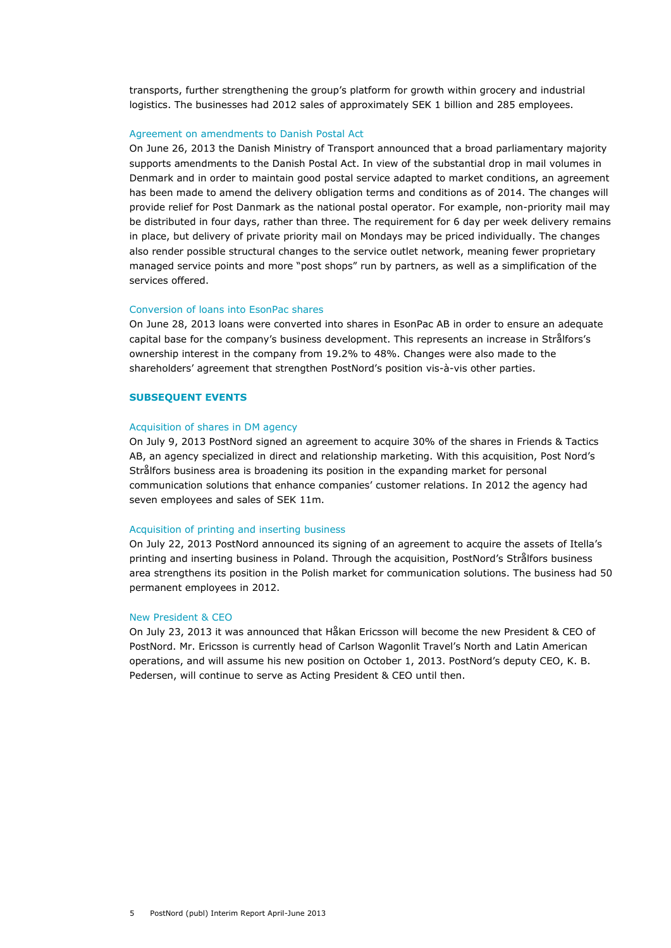transports, further strengthening the group's platform for growth within grocery and industrial logistics. The businesses had 2012 sales of approximately SEK 1 billion and 285 employees.

#### Agreement on amendments to Danish Postal Act

On June 26, 2013 the Danish Ministry of Transport announced that a broad parliamentary majority supports amendments to the Danish Postal Act. In view of the substantial drop in mail volumes in Denmark and in order to maintain good postal service adapted to market conditions, an agreement has been made to amend the delivery obligation terms and conditions as of 2014. The changes will provide relief for Post Danmark as the national postal operator. For example, non-priority mail may be distributed in four days, rather than three. The requirement for 6 day per week delivery remains in place, but delivery of private priority mail on Mondays may be priced individually. The changes also render possible structural changes to the service outlet network, meaning fewer proprietary managed service points and more "post shops" run by partners, as well as a simplification of the services offered.

#### Conversion of loans into EsonPac shares

On June 28, 2013 loans were converted into shares in EsonPac AB in order to ensure an adequate capital base for the company's business development. This represents an increase in Strålfors's ownership interest in the company from 19.2% to 48%. Changes were also made to the shareholders' agreement that strengthen PostNord's position vis-à-vis other parties.

### **SUBSEQUENT EVENTS**

#### Acquisition of shares in DM agency

On July 9, 2013 PostNord signed an agreement to acquire 30% of the shares in Friends & Tactics AB, an agency specialized in direct and relationship marketing. With this acquisition, Post Nord's Strålfors business area is broadening its position in the expanding market for personal communication solutions that enhance companies' customer relations. In 2012 the agency had seven employees and sales of SEK 11m.

#### Acquisition of printing and inserting business

On July 22, 2013 PostNord announced its signing of an agreement to acquire the assets of Itella's printing and inserting business in Poland. Through the acquisition, PostNord's Strålfors business area strengthens its position in the Polish market for communication solutions. The business had 50 permanent employees in 2012.

### New President & CEO

On July 23, 2013 it was announced that Håkan Ericsson will become the new President & CEO of PostNord. Mr. Ericsson is currently head of Carlson Wagonlit Travel's North and Latin American operations, and will assume his new position on October 1, 2013. PostNord's deputy CEO, K. B. Pedersen, will continue to serve as Acting President & CEO until then.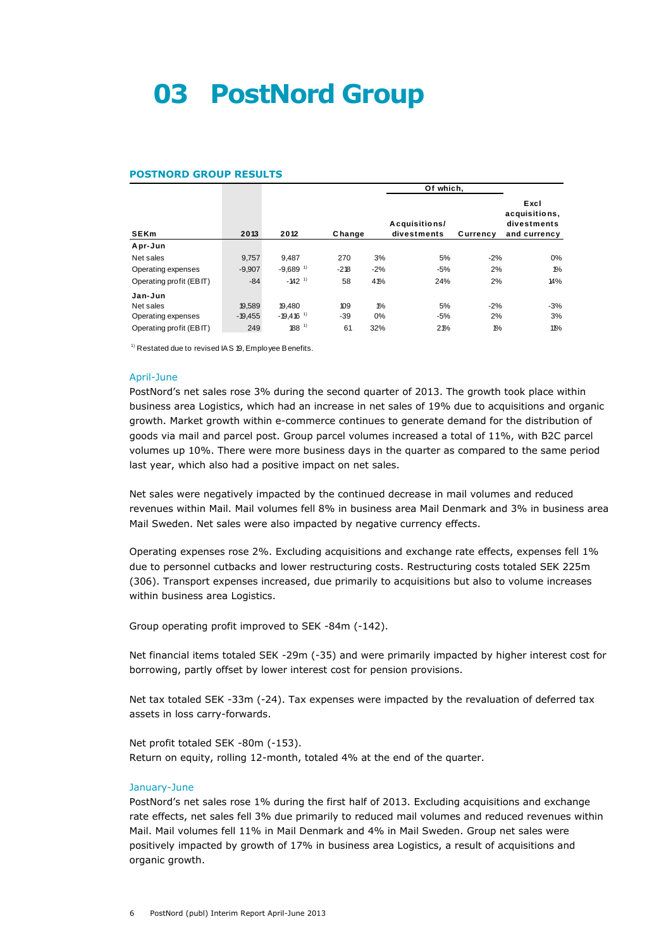# **03 PostNord Group**

#### **POSTNORD GROUP RESULTS**

|                         |           |                         |        | Of which, |                              |          |                                                      |
|-------------------------|-----------|-------------------------|--------|-----------|------------------------------|----------|------------------------------------------------------|
| <b>SEKm</b>             | 2013      | 2012                    | Change |           | Acquisitions/<br>divestments | Currency | Excl<br>acquisitions,<br>divestments<br>and currency |
| Apr-Jun                 |           |                         |        |           |                              |          |                                                      |
| Net sales               | 9,757     | 9,487                   | 270    | 3%        | 5%                           | $-2%$    | 0%                                                   |
| Operating expenses      | $-9.907$  | $-9,689$ <sup>1)</sup>  | $-218$ | $-2%$     | $-5%$                        | 2%       | $1\%$                                                |
| Operating profit (EBIT) | $-84$     | $-142$ <sup>1)</sup>    | 58     | 41%       | 24%                          | 2%       | 14%                                                  |
| Jan-Jun                 |           |                         |        |           |                              |          |                                                      |
| Net sales               | 19.589    | 19.480                  | 109    | $1\%$     | 5%                           | $-2%$    | $-3%$                                                |
| Operating expenses      | $-19,455$ | $-19,416$ <sup>1)</sup> | -39    | 0%        | $-5%$                        | 2%       | 3%                                                   |
| Operating profit (EBIT) | 249       | $188^{11}$              | 61     | 32%       | 21%                          | $1\%$    | 11%                                                  |

 $1$ <sup>1)</sup> Restated due to revised IAS 19, Employee Benefits.

#### April-June

PostNord's net sales rose 3% during the second quarter of 2013. The growth took place within business area Logistics, which had an increase in net sales of 19% due to acquisitions and organic growth. Market growth within e-commerce continues to generate demand for the distribution of goods via mail and parcel post. Group parcel volumes increased a total of 11%, with B2C parcel volumes up 10%. There were more business days in the quarter as compared to the same period last year, which also had a positive impact on net sales.

Net sales were negatively impacted by the continued decrease in mail volumes and reduced revenues within Mail. Mail volumes fell 8% in business area Mail Denmark and 3% in business area Mail Sweden. Net sales were also impacted by negative currency effects.

Operating expenses rose 2%. Excluding acquisitions and exchange rate effects, expenses fell 1% due to personnel cutbacks and lower restructuring costs. Restructuring costs totaled SEK 225m (306). Transport expenses increased, due primarily to acquisitions but also to volume increases within business area Logistics.

Group operating profit improved to SEK -84m (-142).

Net financial items totaled SEK -29m (-35) and were primarily impacted by higher interest cost for borrowing, partly offset by lower interest cost for pension provisions.

Net tax totaled SEK -33m (-24). Tax expenses were impacted by the revaluation of deferred tax assets in loss carry-forwards.

Net profit totaled SEK -80m (-153). Return on equity, rolling 12-month, totaled 4% at the end of the quarter.

#### January-June

PostNord's net sales rose 1% during the first half of 2013. Excluding acquisitions and exchange rate effects, net sales fell 3% due primarily to reduced mail volumes and reduced revenues within Mail. Mail volumes fell 11% in Mail Denmark and 4% in Mail Sweden. Group net sales were positively impacted by growth of 17% in business area Logistics, a result of acquisitions and organic growth.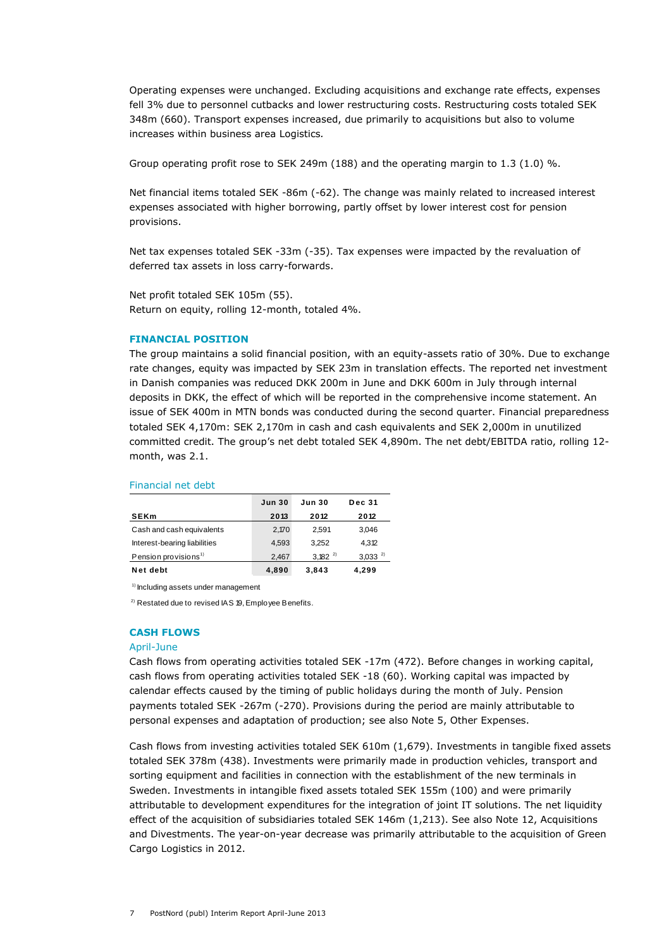Operating expenses were unchanged. Excluding acquisitions and exchange rate effects, expenses fell 3% due to personnel cutbacks and lower restructuring costs. Restructuring costs totaled SEK 348m (660). Transport expenses increased, due primarily to acquisitions but also to volume increases within business area Logistics*.*

Group operating profit rose to SEK 249m (188) and the operating margin to 1.3 (1.0) %.

Net financial items totaled SEK -86m (-62). The change was mainly related to increased interest expenses associated with higher borrowing, partly offset by lower interest cost for pension provisions.

Net tax expenses totaled SEK -33m (-35). Tax expenses were impacted by the revaluation of deferred tax assets in loss carry-forwards.

Net profit totaled SEK 105m (55). Return on equity, rolling 12-month, totaled 4%.

## **FINANCIAL POSITION**

The group maintains a solid financial position, with an equity-assets ratio of 30%. Due to exchange rate changes, equity was impacted by SEK 23m in translation effects. The reported net investment in Danish companies was reduced DKK 200m in June and DKK 600m in July through internal deposits in DKK, the effect of which will be reported in the comprehensive income statement. An issue of SEK 400m in MTN bonds was conducted during the second quarter. Financial preparedness totaled SEK 4,170m: SEK 2,170m in cash and cash equivalents and SEK 2,000m in unutilized committed credit. The group's net debt totaled SEK 4,890m. The net debt/EBITDA ratio, rolling 12 month, was 2.1.

#### Financial net debt

| <u>TIITANUAI NEL UEDL</u>        |               |               |               |
|----------------------------------|---------------|---------------|---------------|
|                                  | <b>Jun 30</b> | <b>Jun 30</b> | <b>Dec 31</b> |
| <b>SEKm</b>                      | 2013          | 2012          | 2012          |
| Cash and cash equivalents        | 2.170         | 2.591         | 3,046         |
| Interest-bearing liabilities     | 4.593         | 3.252         | 4,312         |
| Pension provisions <sup>1)</sup> | 2,467         | $3.182^{2}$   | $3,033^{2}$   |
| Net debt                         | 4,890         | 3,843         | 4,299         |

<sup>1)</sup> Including assets under management

<sup>2)</sup> Restated due to revised IAS 19, Employee Benefits.

# **CASH FLOWS**

#### April-June

Cash flows from operating activities totaled SEK -17m (472). Before changes in working capital, cash flows from operating activities totaled SEK -18 (60). Working capital was impacted by calendar effects caused by the timing of public holidays during the month of July. Pension payments totaled SEK -267m (-270). Provisions during the period are mainly attributable to personal expenses and adaptation of production; see also Note 5, Other Expenses.

Cash flows from investing activities totaled SEK 610m (1,679). Investments in tangible fixed assets totaled SEK 378m (438). Investments were primarily made in production vehicles, transport and sorting equipment and facilities in connection with the establishment of the new terminals in Sweden. Investments in intangible fixed assets totaled SEK 155m (100) and were primarily attributable to development expenditures for the integration of joint IT solutions. The net liquidity effect of the acquisition of subsidiaries totaled SEK 146m (1,213). See also Note 12, Acquisitions and Divestments. The year-on-year decrease was primarily attributable to the acquisition of Green Cargo Logistics in 2012.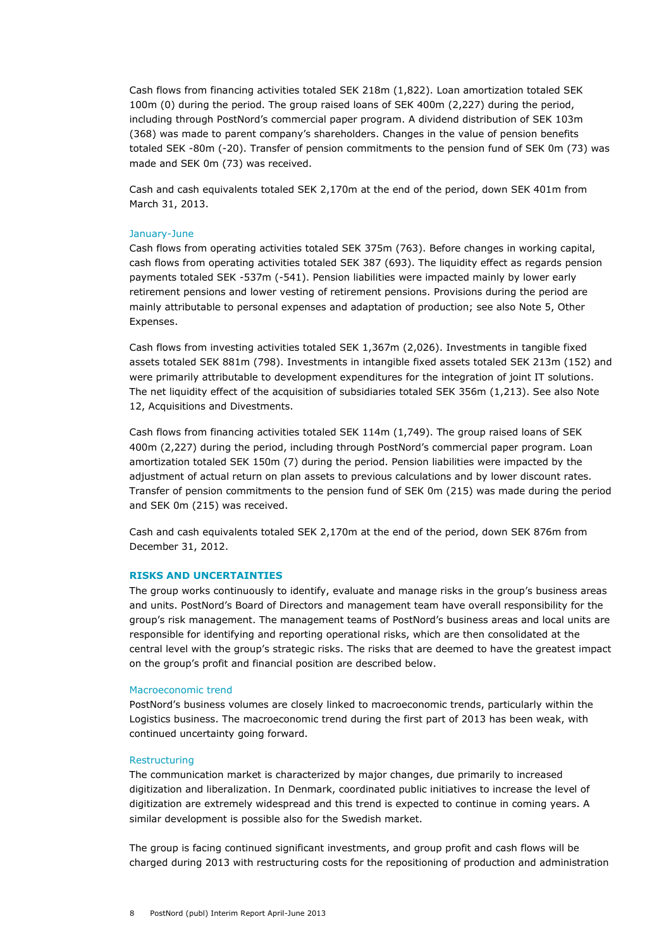Cash flows from financing activities totaled SEK 218m (1,822). Loan amortization totaled SEK 100m (0) during the period. The group raised loans of SEK 400m (2,227) during the period, including through PostNord's commercial paper program. A dividend distribution of SEK 103m (368) was made to parent company's shareholders. Changes in the value of pension benefits totaled SEK -80m (-20). Transfer of pension commitments to the pension fund of SEK 0m (73) was made and SEK 0m (73) was received.

Cash and cash equivalents totaled SEK 2,170m at the end of the period, down SEK 401m from March 31, 2013.

#### January-June

Cash flows from operating activities totaled SEK 375m (763). Before changes in working capital, cash flows from operating activities totaled SEK 387 (693). The liquidity effect as regards pension payments totaled SEK -537m (-541). Pension liabilities were impacted mainly by lower early retirement pensions and lower vesting of retirement pensions. Provisions during the period are mainly attributable to personal expenses and adaptation of production; see also Note 5, Other Expenses.

Cash flows from investing activities totaled SEK 1,367m (2,026). Investments in tangible fixed assets totaled SEK 881m (798). Investments in intangible fixed assets totaled SEK 213m (152) and were primarily attributable to development expenditures for the integration of joint IT solutions. The net liquidity effect of the acquisition of subsidiaries totaled SEK 356m (1,213). See also Note 12, Acquisitions and Divestments.

Cash flows from financing activities totaled SEK 114m (1,749). The group raised loans of SEK 400m (2,227) during the period, including through PostNord's commercial paper program. Loan amortization totaled SEK 150m (7) during the period. Pension liabilities were impacted by the adjustment of actual return on plan assets to previous calculations and by lower discount rates. Transfer of pension commitments to the pension fund of SEK 0m (215) was made during the period and SEK 0m (215) was received.

Cash and cash equivalents totaled SEK 2,170m at the end of the period, down SEK 876m from December 31, 2012.

#### **RISKS AND UNCERTAINTIES**

The group works continuously to identify, evaluate and manage risks in the group's business areas and units. PostNord's Board of Directors and management team have overall responsibility for the group's risk management. The management teams of PostNord's business areas and local units are responsible for identifying and reporting operational risks, which are then consolidated at the central level with the group's strategic risks. The risks that are deemed to have the greatest impact on the group's profit and financial position are described below.

#### Macroeconomic trend

PostNord's business volumes are closely linked to macroeconomic trends, particularly within the Logistics business. The macroeconomic trend during the first part of 2013 has been weak, with continued uncertainty going forward.

#### **Restructuring**

The communication market is characterized by major changes, due primarily to increased digitization and liberalization. In Denmark, coordinated public initiatives to increase the level of digitization are extremely widespread and this trend is expected to continue in coming years. A similar development is possible also for the Swedish market.

The group is facing continued significant investments, and group profit and cash flows will be charged during 2013 with restructuring costs for the repositioning of production and administration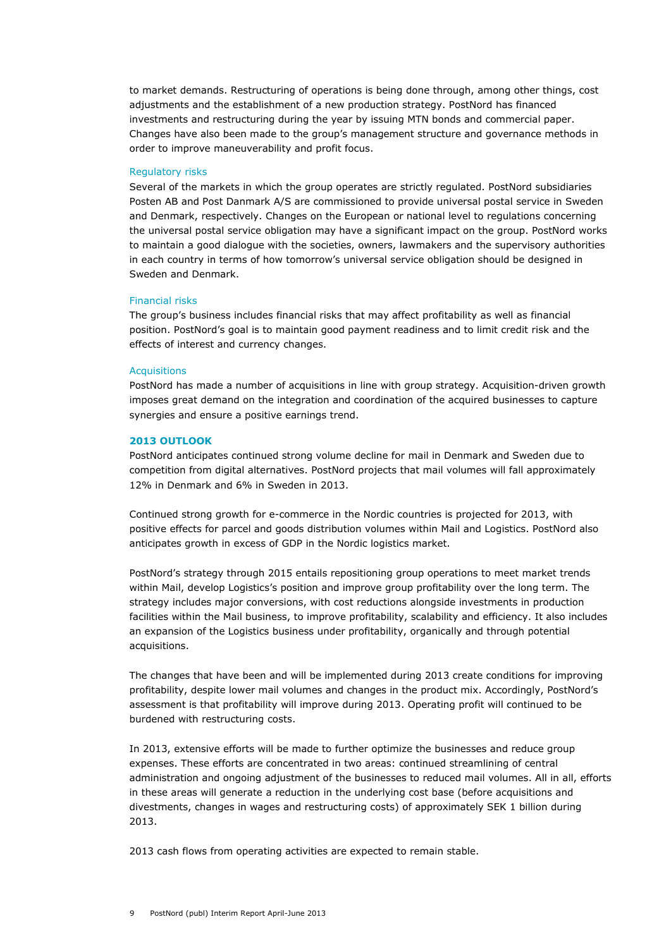to market demands. Restructuring of operations is being done through, among other things, cost adjustments and the establishment of a new production strategy. PostNord has financed investments and restructuring during the year by issuing MTN bonds and commercial paper. Changes have also been made to the group's management structure and governance methods in order to improve maneuverability and profit focus.

#### Regulatory risks

Several of the markets in which the group operates are strictly regulated. PostNord subsidiaries Posten AB and Post Danmark A/S are commissioned to provide universal postal service in Sweden and Denmark, respectively. Changes on the European or national level to regulations concerning the universal postal service obligation may have a significant impact on the group. PostNord works to maintain a good dialogue with the societies, owners, lawmakers and the supervisory authorities in each country in terms of how tomorrow's universal service obligation should be designed in Sweden and Denmark.

## Financial risks

The group's business includes financial risks that may affect profitability as well as financial position. PostNord's goal is to maintain good payment readiness and to limit credit risk and the effects of interest and currency changes.

#### **Acquisitions**

PostNord has made a number of acquisitions in line with group strategy. Acquisition-driven growth imposes great demand on the integration and coordination of the acquired businesses to capture synergies and ensure a positive earnings trend.

#### **2013 OUTLOOK**

PostNord anticipates continued strong volume decline for mail in Denmark and Sweden due to competition from digital alternatives. PostNord projects that mail volumes will fall approximately 12% in Denmark and 6% in Sweden in 2013.

Continued strong growth for e-commerce in the Nordic countries is projected for 2013, with positive effects for parcel and goods distribution volumes within Mail and Logistics. PostNord also anticipates growth in excess of GDP in the Nordic logistics market.

PostNord's strategy through 2015 entails repositioning group operations to meet market trends within Mail, develop Logistics's position and improve group profitability over the long term. The strategy includes major conversions, with cost reductions alongside investments in production facilities within the Mail business, to improve profitability, scalability and efficiency. It also includes an expansion of the Logistics business under profitability, organically and through potential acquisitions.

The changes that have been and will be implemented during 2013 create conditions for improving profitability, despite lower mail volumes and changes in the product mix. Accordingly, PostNord's assessment is that profitability will improve during 2013. Operating profit will continued to be burdened with restructuring costs.

In 2013, extensive efforts will be made to further optimize the businesses and reduce group expenses. These efforts are concentrated in two areas: continued streamlining of central administration and ongoing adjustment of the businesses to reduced mail volumes. All in all, efforts in these areas will generate a reduction in the underlying cost base (before acquisitions and divestments, changes in wages and restructuring costs) of approximately SEK 1 billion during 2013.

2013 cash flows from operating activities are expected to remain stable.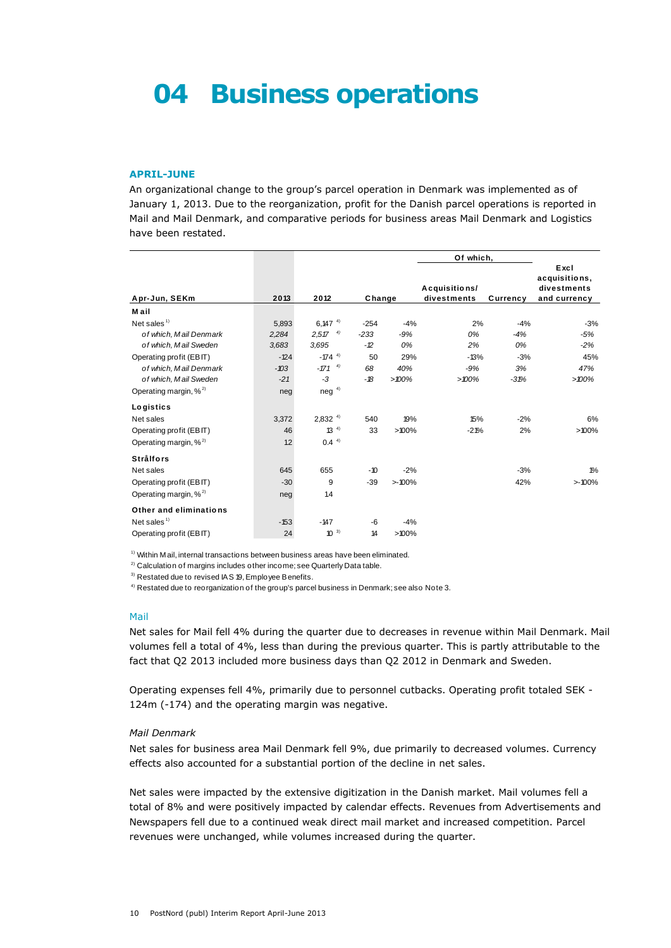# **04 Business operations**

#### **APRIL-JUNE**

An organizational change to the group's parcel operation in Denmark was implemented as of January 1, 2013. Due to the reorganization, profit for the Danish parcel operations is reported in Mail and Mail Denmark, and comparative periods for business areas Mail Denmark and Logistics have been restated.

|                                                                                                                                                                                         |        |                  |        |       | Of which,                    |          |                                                      |
|-----------------------------------------------------------------------------------------------------------------------------------------------------------------------------------------|--------|------------------|--------|-------|------------------------------|----------|------------------------------------------------------|
| Apr-Jun, SEKm                                                                                                                                                                           | 2013   | 2012             | Change |       | Acquisitions/<br>divestments | Currency | Excl<br>acquisitions,<br>divestments<br>and currency |
| M ail                                                                                                                                                                                   |        |                  |        |       |                              |          |                                                      |
| Net sales $1$                                                                                                                                                                           | 5,893  | $6.147^{4}$      | $-254$ | $-4%$ | 2%                           | $-4%$    | $-3%$                                                |
| of which, Mail Denmark                                                                                                                                                                  | 2,284  | $2.57^{4}$       | $-233$ | $-9%$ | 0%                           | $-4%$    | $-5%$                                                |
| of which, Mail Sweden                                                                                                                                                                   | 3,683  | 3,695            | $-2$   | 0%    | 2%                           | 0%       | $-2%$                                                |
| Operating profit (EBIT)                                                                                                                                                                 | $-124$ | $-174^{4}$       | 50     | 29%   | $-13%$                       | $-3%$    | 45%                                                  |
| of which, Mail Denmark                                                                                                                                                                  | $-103$ | $-171^{4}$       | 68     | 40%   | $-9%$                        | 3%       | 47%                                                  |
| of which, Mail Sweden                                                                                                                                                                   | $-21$  | -3               | $-18$  | >100% | >100%                        | $-31%$   | $>100\%$                                             |
| Operating margin, % <sup>2)</sup>                                                                                                                                                       | neg    | $neg^{4}$        |        |       |                              |          |                                                      |
| Logistics                                                                                                                                                                               |        |                  |        |       |                              |          |                                                      |
| Net sales                                                                                                                                                                               | 3,372  | $2,832^{4}$      | 540    | 19%   | 15%                          | $-2%$    | 6%                                                   |
| Operating profit (EBIT)                                                                                                                                                                 | 46     | $13^{4}$         | 33     | >100% | $-21%$                       | 2%       | $>100\%$                                             |
| Operating margin, % <sup>2)</sup>                                                                                                                                                       | 1.2    | 0.4 <sup>4</sup> |        |       |                              |          |                                                      |
| <b>Strålfors</b>                                                                                                                                                                        |        |                  |        |       |                              |          |                                                      |
| Net sales                                                                                                                                                                               | 645    | 655              | $-10$  | $-2%$ |                              | $-3%$    | $1\%$                                                |
| Operating profit (EBIT)                                                                                                                                                                 | $-30$  | 9                | $-39$  | >100% |                              | 42%      | >100%                                                |
| Operating margin, % <sup>2)</sup>                                                                                                                                                       | neg    | 14               |        |       |                              |          |                                                      |
| Other and eliminations                                                                                                                                                                  |        |                  |        |       |                              |          |                                                      |
| Net sales <sup><math>1)</math></sup>                                                                                                                                                    | $-153$ | $-147$           | -6     | $-4%$ |                              |          |                                                      |
| Operating profit (EBIT)                                                                                                                                                                 | 24     | $10^{-3}$        | 14     | >100% |                              |          |                                                      |
| <sup>1)</sup> Within M ail, internal transactions between business areas have been eliminated.<br><sup>2)</sup> Calculation of margins includes other income; see Quarterly Data table. |        |                  |        |       |                              |          |                                                      |

<sup>2)</sup> Calculation of margins includes other income; see Quarterly Data table.<br><sup>3)</sup> Restated due to revised IAS 19, Employee Benefits.

<sup>4)</sup> Restated due to reorganization of the group's parcel business in Denmark; see also Note 3.

#### Mail

Net sales for Mail fell 4% during the quarter due to decreases in revenue within Mail Denmark. Mail volumes fell a total of 4%, less than during the previous quarter. This is partly attributable to the fact that Q2 2013 included more business days than Q2 2012 in Denmark and Sweden.

Operating expenses fell 4%, primarily due to personnel cutbacks. Operating profit totaled SEK - 124m (-174) and the operating margin was negative.

# *Mail Denmark*

Net sales for business area Mail Denmark fell 9%, due primarily to decreased volumes. Currency effects also accounted for a substantial portion of the decline in net sales.

Net sales were impacted by the extensive digitization in the Danish market. Mail volumes fell a total of 8% and were positively impacted by calendar effects. Revenues from Advertisements and Newspapers fell due to a continued weak direct mail market and increased competition. Parcel revenues were unchanged, while volumes increased during the quarter.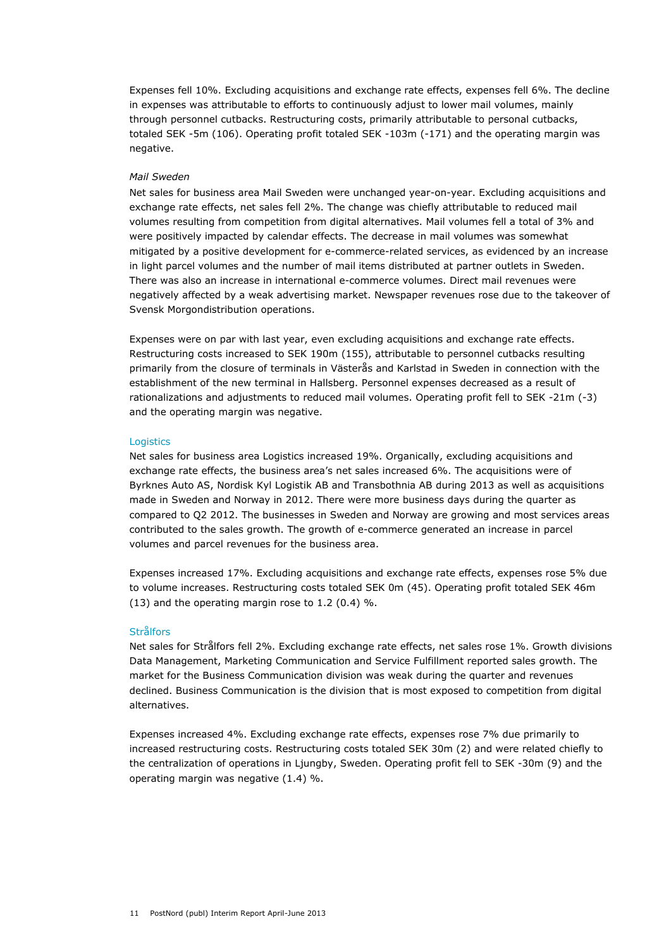Expenses fell 10%. Excluding acquisitions and exchange rate effects, expenses fell 6%. The decline in expenses was attributable to efforts to continuously adjust to lower mail volumes, mainly through personnel cutbacks. Restructuring costs, primarily attributable to personal cutbacks, totaled SEK -5m (106). Operating profit totaled SEK -103m (-171) and the operating margin was negative.

# *Mail Sweden*

Net sales for business area Mail Sweden were unchanged year-on-year. Excluding acquisitions and exchange rate effects, net sales fell 2%. The change was chiefly attributable to reduced mail volumes resulting from competition from digital alternatives. Mail volumes fell a total of 3% and were positively impacted by calendar effects. The decrease in mail volumes was somewhat mitigated by a positive development for e-commerce-related services, as evidenced by an increase in light parcel volumes and the number of mail items distributed at partner outlets in Sweden. There was also an increase in international e-commerce volumes. Direct mail revenues were negatively affected by a weak advertising market. Newspaper revenues rose due to the takeover of Svensk Morgondistribution operations.

Expenses were on par with last year, even excluding acquisitions and exchange rate effects. Restructuring costs increased to SEK 190m (155), attributable to personnel cutbacks resulting primarily from the closure of terminals in Västerås and Karlstad in Sweden in connection with the establishment of the new terminal in Hallsberg. Personnel expenses decreased as a result of rationalizations and adjustments to reduced mail volumes. Operating profit fell to SEK -21m (-3) and the operating margin was negative.

### **Logistics**

Net sales for business area Logistics increased 19%. Organically, excluding acquisitions and exchange rate effects, the business area's net sales increased 6%. The acquisitions were of Byrknes Auto AS, Nordisk Kyl Logistik AB and Transbothnia AB during 2013 as well as acquisitions made in Sweden and Norway in 2012. There were more business days during the quarter as compared to Q2 2012. The businesses in Sweden and Norway are growing and most services areas contributed to the sales growth. The growth of e-commerce generated an increase in parcel volumes and parcel revenues for the business area.

Expenses increased 17%. Excluding acquisitions and exchange rate effects, expenses rose 5% due to volume increases. Restructuring costs totaled SEK 0m (45). Operating profit totaled SEK 46m (13) and the operating margin rose to 1.2 (0.4) %.

# **Strålfors**

Net sales for Strålfors fell 2%. Excluding exchange rate effects, net sales rose 1%. Growth divisions Data Management, Marketing Communication and Service Fulfillment reported sales growth. The market for the Business Communication division was weak during the quarter and revenues declined. Business Communication is the division that is most exposed to competition from digital alternatives.

Expenses increased 4%. Excluding exchange rate effects, expenses rose 7% due primarily to increased restructuring costs. Restructuring costs totaled SEK 30m (2) and were related chiefly to the centralization of operations in Ljungby, Sweden. Operating profit fell to SEK -30m (9) and the operating margin was negative (1.4) %.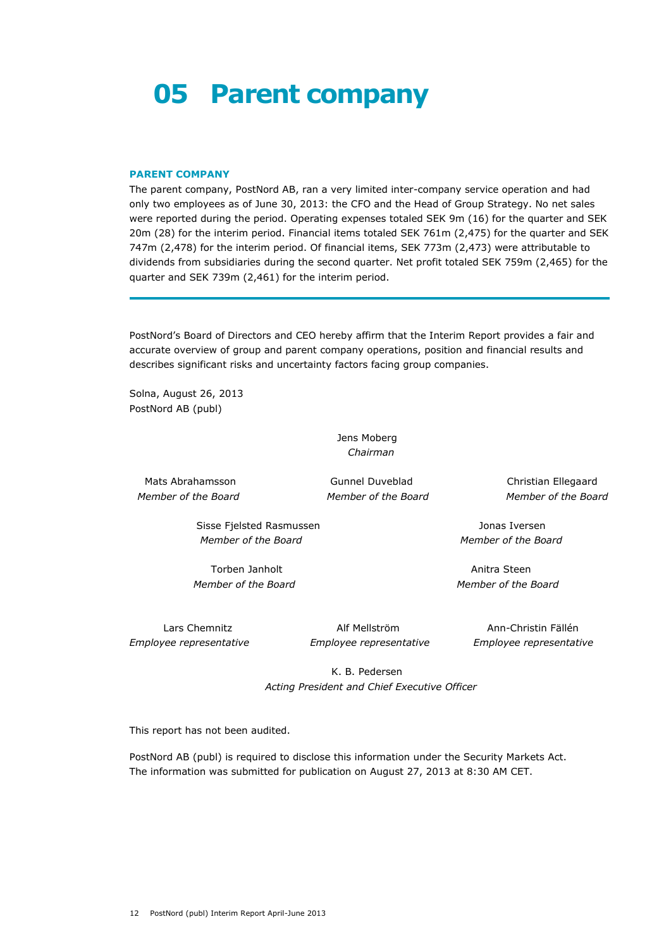# **05 Parent company**

#### **PARENT COMPANY**

The parent company, PostNord AB, ran a very limited inter-company service operation and had only two employees as of June 30, 2013: the CFO and the Head of Group Strategy. No net sales were reported during the period. Operating expenses totaled SEK 9m (16) for the quarter and SEK 20m (28) for the interim period. Financial items totaled SEK 761m (2,475) for the quarter and SEK 747m (2,478) for the interim period. Of financial items, SEK 773m (2,473) were attributable to dividends from subsidiaries during the second quarter. Net profit totaled SEK 759m (2,465) for the quarter and SEK 739m (2,461) for the interim period.

PostNord's Board of Directors and CEO hereby affirm that the Interim Report provides a fair and accurate overview of group and parent company operations, position and financial results and describes significant risks and uncertainty factors facing group companies.

Solna, August 26, 2013 PostNord AB (publ)

> Jens Moberg *Chairman*

Mats Abrahamsson Gunnel Duveblad Christian Ellegaard *Member of the Board Member of the Board Member of the Board*

Sisse Fjelsted Rasmussen Jonas Iversen  *Member of the Board Member of the Board*

Torben Janholt **Anitra Steen**  *Member of the Board Member of the Board*

*Employee representative Employee representative Employee representative*

Lars Chemnitz Alf Mellström Ann-Christin Fällén

 K. B. Pedersen *Acting President and Chief Executive Officer*

This report has not been audited.

PostNord AB (publ) is required to disclose this information under the Security Markets Act. The information was submitted for publication on August 27, 2013 at 8:30 AM CET.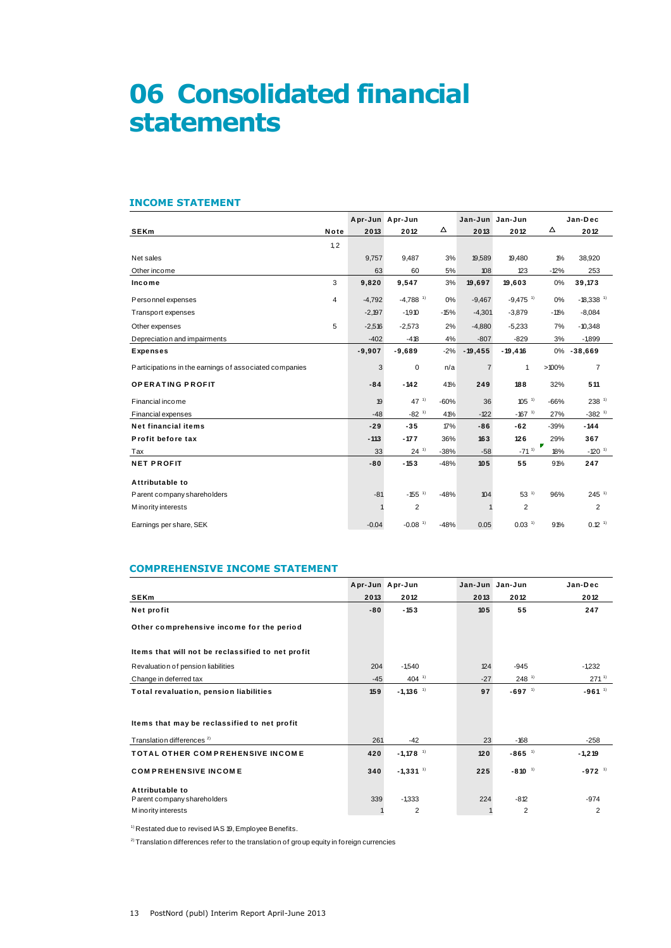# **06 Consolidated financial statements**

### **INCOME STATEMENT**

| <b>INCOME STATEMENT</b>                                |      |                 |                        |        |                 |                        |          |                         |
|--------------------------------------------------------|------|-----------------|------------------------|--------|-----------------|------------------------|----------|-------------------------|
|                                                        |      | Apr-Jun Apr-Jun |                        |        | Jan-Jun Jan-Jun |                        |          | Jan-Dec                 |
| <b>SEKm</b>                                            | Note | 2013            | 2012                   | Δ      | 2013            | 2012                   | Δ        | 2012                    |
|                                                        | 1.2  |                 |                        |        |                 |                        |          |                         |
| Net sales                                              |      | 9,757           | 9,487                  | 3%     | 19,589          | 19,480                 | $1\%$    | 38,920                  |
| Other income                                           |      | 63              | 60                     | 5%     | 108             | 123                    | $-12%$   | 253                     |
| Income                                                 | 3    | 9,820           | 9,547                  | 3%     | 19,697          | 19,603                 | 0%       | 39,173                  |
| Personnel expenses                                     | 4    | $-4,792$        | $-4.788$ <sup>1)</sup> | 0%     | $-9,467$        | $-9,475$ <sup>1)</sup> | 0%       | $-18,338$ <sup>1)</sup> |
| Transport expenses                                     |      | $-2,197$        | $-1,910$               | $-15%$ | $-4,301$        | $-3,879$               | $-11%$   | $-8,084$                |
| Other expenses                                         | 5    | $-2,516$        | $-2,573$               | 2%     | $-4,880$        | $-5,233$               | 7%       | $-10,348$               |
| Depreciation and impairments                           |      | $-402$          | $-418$                 | 4%     | $-807$          | $-829$                 | 3%       | $-1,899$                |
| <b>Expenses</b>                                        |      | $-9,907$        | $-9,689$               | $-2%$  | $-19,455$       | $-19,416$              | 0%       | $-38,669$               |
| Participations in the earnings of associated companies |      | 3               | 0                      | n/a    | $\overline{7}$  | $\mathbf{1}$           | >100%    | $\overline{7}$          |
| <b>OPERATING PROFIT</b>                                |      | $-84$           | $-142$                 | 41%    | 249             | 188                    | 32%      | 511                     |
| Financial income                                       |      | 19              | $47^{11}$              | $-60%$ | 36              | $105^{11}$             | $-66%$   | 238 <sup>1</sup>        |
| <b>Financial expenses</b>                              |      | $-48$           | $-82$ <sup>1)</sup>    | 41%    | $-122$          | $-167$ <sup>1)</sup>   | 27%      | $-382$ <sup>1)</sup>    |
| <b>Net financial items</b>                             |      | $-29$           | $-35$                  | 17%    | $-86$           | $-62$                  | $-39%$   | $-144$                  |
| Profit before tax                                      |      | $-113$          | $-177$                 | 36%    | 163             | 126                    | 29%      | 367                     |
| Tax                                                    |      | 33              | $24^{11}$              | $-38%$ | $-58$           | $-71^{11}$             | Γ<br>18% | $-120$ <sup>1)</sup>    |
| <b>NET PROFIT</b>                                      |      | $-80$           | $-153$                 | $-48%$ | 105             | 55                     | 91%      | 247                     |
| Attributable to                                        |      |                 |                        |        |                 |                        |          |                         |
| Parent company shareholders                            |      | $-81$           | $-155$ <sup>1)</sup>   | $-48%$ | 104             | $53^{11}$              | 96%      | $245$ <sup>1)</sup>     |
| M ino rity interests                                   |      |                 | $\overline{2}$         |        |                 | $\overline{2}$         |          | $\overline{2}$          |
| Earnings per share, SEK                                |      | $-0.04$         | $-0.08$ <sup>1)</sup>  | $-48%$ | 0.05            | $0.03$ <sup>1)</sup>   | 91%      | $0.12$ <sup>1)</sup>    |

## **COMPREHENSIVE INCOME STATEMENT**

|                                                   |       | Apr-Jun Apr-Jun        |       | Jan-Jun Jan-Jun      | Jan-Dec              |
|---------------------------------------------------|-------|------------------------|-------|----------------------|----------------------|
| <b>SEKm</b>                                       | 2013  | 2012                   | 2013  | 2012                 | 2012                 |
| Net profit                                        | $-80$ | $-153$                 | 105   | 55                   | 247                  |
| Other comprehensive income for the period         |       |                        |       |                      |                      |
| Items that will not be reclassified to net profit |       |                        |       |                      |                      |
| Revaluation of pension liabilities                | 204   | $-1.540$               | 124   | $-945$               | $-1232$              |
| Change in deferred tax                            | $-45$ | 404 $1$                | $-27$ | $248$ <sup>1)</sup>  | $271^{11}$           |
| <b>Total revaluation, pension liabilities</b>     | 159   | $-1,136$ <sup>1)</sup> | 97    | $-697$ <sup>1)</sup> | $-961^{11}$          |
|                                                   |       |                        |       |                      |                      |
| Items that may be reclassified to net profit      |       |                        |       |                      |                      |
| Translation differences <sup>2)</sup>             | 261   | $-42$                  | 23    | $-168$               | $-258$               |
| <b>TOTAL OTHER COMPREHENSIVE INCOME</b>           | 420   | $-1,178$ <sup>1)</sup> | 120   | $-865$ <sup>1)</sup> | $-1,219$             |
| <b>COMPREHENSIVE INCOME</b>                       | 340   | $-1,331$ <sup>1)</sup> | 225   | $-810^{-1}$          | $-972$ <sup>1)</sup> |
| Attributable to                                   |       |                        |       |                      |                      |
| Parent company shareholders                       | 339   | $-1,333$               | 224   | $-812$               | $-974$               |
| M ino rity interests                              |       | $\overline{2}$         |       | $\overline{2}$       | $\overline{2}$       |

 $1)$  Restated due to revised IAS 19, Employee Benefits.

 $2)$  Translation differences refer to the translation of group equity in foreign currencies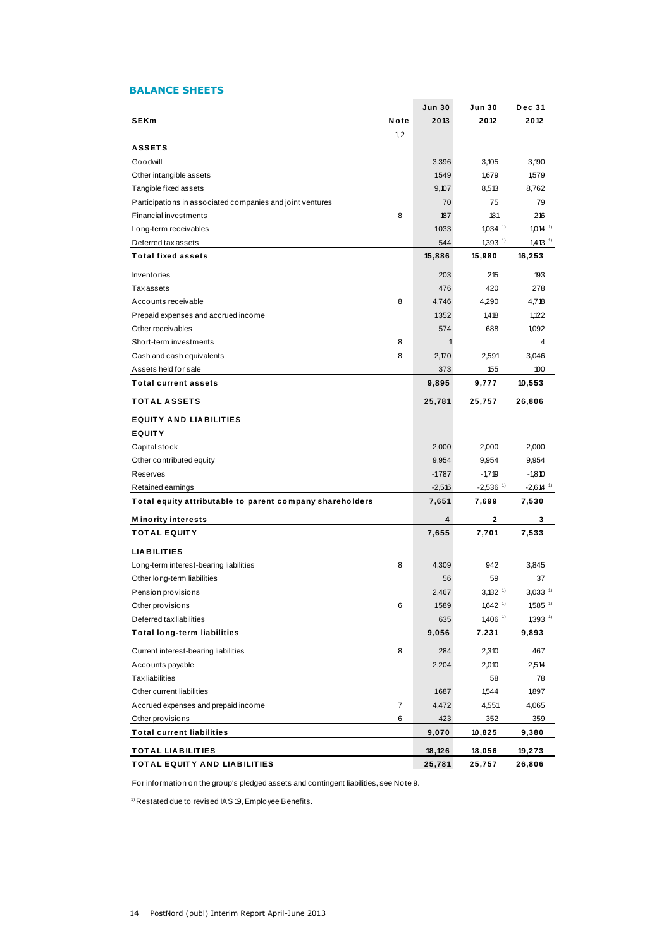# **BALANCE SHEETS**

| <b>BALANCE SHEETS</b>                                     |                |               |                        |                        |
|-----------------------------------------------------------|----------------|---------------|------------------------|------------------------|
|                                                           |                | <b>Jun 30</b> | Jun 30                 | <b>Dec 31</b>          |
| SEKm                                                      | Note           | 2013          | 2012                   | 2012                   |
|                                                           | 1, 2           |               |                        |                        |
| <b>ASSETS</b>                                             |                |               |                        |                        |
| Goodwill                                                  |                | 3,396         | 3,105                  | 3,190                  |
| Other intangible assets                                   |                | 1,549         | 1,679                  | 1,579                  |
| Tangible fixed assets                                     |                | 9,107         | 8,513                  | 8,762                  |
| Participations in associated companies and joint ventures |                | 70            | 75                     | 79                     |
| <b>Financial investments</b>                              | 8              | 187           | 181                    | 216                    |
| Long-term receivables                                     |                | 1,033         | $1,034$ <sup>1)</sup>  | $1,014$ <sup>1)</sup>  |
| Deferred tax assets                                       |                | 544           | $1,393$ <sup>1)</sup>  | $1,413$ <sup>1)</sup>  |
| <b>Total fixed assets</b>                                 |                | 15,886        | 15,980                 | 16,253                 |
| <b>Inventories</b>                                        |                | 203           | 215                    | 193                    |
| <b>Taxassets</b>                                          |                | 476           | 420                    | 278                    |
| Accounts receivable                                       | 8              | 4,746         | 4,290                  | 4,718                  |
| Prepaid expenses and accrued income                       |                | 1,352         | 1,418                  | 1,122                  |
| Other receivables                                         |                | 574           | 688                    | 1,092                  |
| Short-term investments                                    | 8              | $\mathbf{1}$  |                        | 4                      |
| Cash and cash equivalents                                 | 8              | 2,170         | 2,591                  | 3,046                  |
| Assets held for sale                                      |                | 373           | 155                    | 100                    |
| <b>Total current assets</b>                               |                | 9,895         | 9,777                  | 10,553                 |
| <b>TOTAL ASSETS</b>                                       |                | 25,781        | 25,757                 | 26,806                 |
| <b>EQUITY AND LIABILITIES</b>                             |                |               |                        |                        |
| <b>EQUITY</b>                                             |                |               |                        |                        |
| Capital stock                                             |                | 2,000         | 2,000                  | 2,000                  |
| Other contributed equity                                  |                | 9,954         | 9,954                  | 9,954                  |
| Reserves                                                  |                | $-1,787$      | $-1,719$               | $-1,810$               |
| Retained earnings                                         |                | $-2,516$      | $-2,536$ <sup>1)</sup> | $-2,614$ <sup>1)</sup> |
| Total equity attributable to parent company shareholders  |                | 7,651         | 7,699                  | 7,530                  |
| <b>M</b> inority interests                                |                | 4             | 2                      | 3                      |
| <b>TOTAL EQUITY</b>                                       |                | 7,655         | 7,701                  | 7,533                  |
| <b>LIABILITIES</b>                                        |                |               |                        |                        |
| Long-term interest-bearing liabilities                    | 8              | 4,309         | 942                    | 3,845                  |
| Other long-term liabilities                               |                | 56            | 59                     | 37                     |
| Pension provisions                                        |                | 2,467         | $3,182$ <sup>1)</sup>  | $3,033$ <sup>1)</sup>  |
| Other provisions                                          | 6              | 1,589         | $1,642$ <sup>1)</sup>  | $1,585$ <sup>1)</sup>  |
| Deferred tax liabilities                                  |                | 635           | $1,406$ <sup>1)</sup>  | $1,393$ <sup>1)</sup>  |
| <b>Total long-term liabilities</b>                        |                | 9,056         | 7,231                  | 9,893                  |
| Current interest-bearing liabilities                      | 8              | 284           | 2,310                  | 467                    |
| Accounts payable                                          |                | 2,204         | 2,010                  | 2,514                  |
| <b>Tax liabilities</b>                                    |                |               | 58                     | 78                     |
| Other current liabilities                                 |                | 1,687         | 1,544                  | 1,897                  |
| Accrued expenses and prepaid income                       | $\overline{7}$ | 4,472         | 4,551                  | 4,065                  |
| Other provisions                                          | 6              | 423           | 352                    | 359                    |
| <b>Total current liabilities</b>                          |                | 9,070         | 10,825                 | 9,380                  |
| <b>TOTAL LIABILITIES</b>                                  |                | 18,126        | 18,056                 | 19,273                 |
| <b>TOTAL EQUITY AND LIABILITIES</b>                       |                | 25,781        | 25,757                 | 26,806                 |

For information on the group's pledged assets and contingent liabilities, see Note 9.

 $1)$  Restated due to revised IAS 19, Employee Benefits.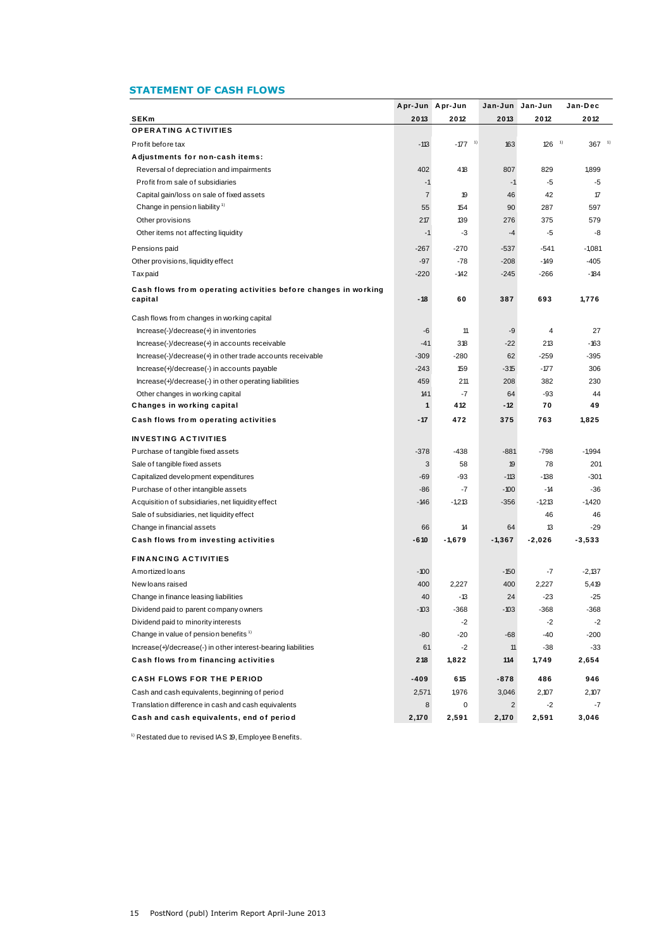# **STATEMENT OF CASH FLOWS**

|                                                                           |                | Apr-Jun Apr-Jun       |                | Jan-Jun Jan-Jun | Jan-Dec         |
|---------------------------------------------------------------------------|----------------|-----------------------|----------------|-----------------|-----------------|
| <b>SEKm</b>                                                               | 2013           | 2012                  | 2013           | 2012            | 2012            |
| <b>OPERATING ACTIVITIES</b>                                               |                |                       |                |                 |                 |
| Profit before tax                                                         | $-113$         | $-177$ <sup>-1)</sup> | 163            | 126             | 1)<br>$367^{1}$ |
| Adjustments for non-cash items:                                           |                |                       |                |                 |                 |
| Reversal of depreciation and impairments                                  | 402            | 418                   | 807            | 829             | 1,899           |
| Profit from sale of subsidiaries                                          | $-1$           |                       | $-1$           | -5              | $-5$            |
| Capital gain/loss on sale of fixed assets                                 | $\overline{7}$ | 19                    | 46             | 42              | $\mathcal T$    |
| Change in pension liability <sup>1)</sup>                                 | 55             | 154                   | 90             | 287             | 597             |
| Other provisions                                                          | 217            | 139                   | 276            | 375             | 579             |
| Other items not affecting liquidity                                       | $-1$           | -3                    | $-4$           | -5              | -8              |
| Pensions paid                                                             | $-267$         | $-270$                | $-537$         | -541            | $-1,081$        |
| Other provisions, liquidity effect                                        | $-97$          | $-78$                 | $-208$         | $-149$          | $-405$          |
| Taxpaid                                                                   | $-220$         | $-142$                | $-245$         | $-266$          | $-184$          |
|                                                                           |                |                       |                |                 |                 |
| Cash flows from operating activities before changes in working<br>capital | - 18           | 60                    | 387            | 693             | 1,776           |
| Cash flows from changes in working capital                                |                |                       |                |                 |                 |
| $Increase(-)/decrease(+)$ in inventories                                  | -6             | 11                    | -9             | $\overline{4}$  | 27              |
| $Increase(-)/decrease(+)$ in accounts receivable                          | $-41$          | 318                   | $-22$          | 213             | $-163$          |
| Increase(-)/decrease(+) in other trade accounts receivable                | $-309$         | $-280$                | 62             | $-259$          | $-395$          |
| Increase(+)/decrease(-) in accounts payable                               | $-243$         | 159                   | $-315$         | $-177$          | 306             |
| Increase(+)/decrease(-) in other operating liabilities                    | 459            | 211                   | 208            | 382             | 230             |
| Other changes in working capital                                          | 141            | $-7$                  | 64             | $-93$           | 44              |
| Changes in working capital                                                | $\mathbf{1}$   | 412                   | $-12$          | 70              | 49              |
| Cash flows from operating activities                                      | $-17$          | 472                   | 375            | 763             | 1,825           |
| <b>INVESTING ACTIVITIES</b>                                               |                |                       |                |                 |                 |
| Purchase of tangible fixed assets                                         | $-378$         | -438                  | $-881$         | $-798$          | $-1,994$        |
| Sale of tangible fixed assets                                             | 3              | 58                    | 19             | 78              | 201             |
| Capitalized development expenditures                                      | -69            | $-93$                 | $-113$         | $-138$          | $-301$          |
| Purchase of other intangible assets                                       | $-86$          | $-7$                  | $-100$         | $-14$           | $-36$           |
| Acquisition of subsidiaries, net liquidity effect                         | -146           | $-1,213$              | $-356$         | $-1,213$        | $-1,420$        |
| Sale of subsidiaries, net liquidity effect                                |                |                       |                | 46              | 46              |
| Change in financial assets                                                | 66             | 14                    | 64             | 13              | $-29$           |
| Cash flows from investing activities                                      | $-610$         | $-1,679$              | $-1,367$       | $-2,026$        | $-3,533$        |
| <b>FINANCING ACTIVITIES</b>                                               |                |                       |                |                 |                 |
| Amortized loans                                                           | $-100$         |                       | $-150$         | $-7$            | $-2,137$        |
| New loans raised                                                          | 400            | 2,227                 | 400            | 2,227           | 5,419           |
| Change in finance leasing liabilities                                     | 40             | $-13$                 | 24             | $-23$           | $-25$           |
| Dividend paid to parent company owners                                    | $-103$         | $-368$                | $-103$         | $-368$          | $-368$          |
| Dividend paid to mino rity interests                                      |                | $-2$                  |                | $-2$            | $-2$            |
| Change in value of pension benefits <sup>1)</sup>                         | -80            | $-20$                 | -68            | -40             | $-200$          |
| Increase(+)/decrease(-) in other interest-bearing liabilities             | 61             | $-2$                  | 11             | $-38$           | $-33$           |
| Cash flows from financing activities                                      | 218            | 1,822                 | 114            | 1,749           | 2,654           |
| <b>CASH FLOWS FOR THE PERIOD</b>                                          | -409           | 615                   | $-878$         | 486             | 946             |
| Cash and cash equivalents, beginning of period                            | 2,571          | 1,976                 | 3,046          | 2,107           | 2,107           |
| Translation difference in cash and cash equivalents                       | 8              | 0                     | $\overline{c}$ | $-2$            | $-7$            |
| Cash and cash equivalents, end of period                                  | 2,170          | 2,591                 | 2,170          | 2,591           | 3,046           |

 $1)$  Restated due to revised IAS 19, Employee Benefits.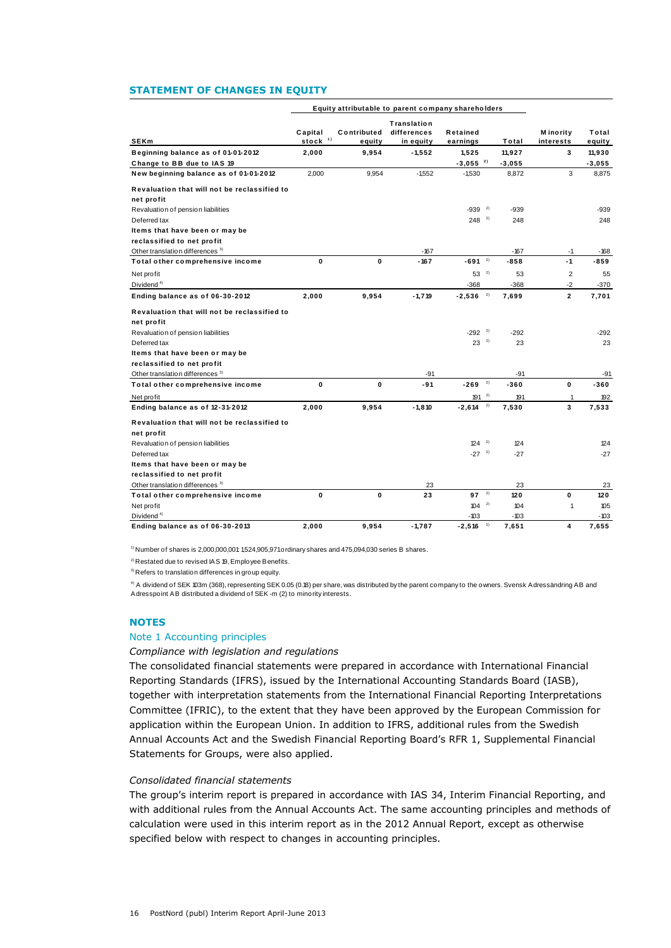#### **STATEMENT OF CHANGES IN EQUITY**

|                                                            | Equity attributable to parent company shareholders |                       |                                         |                        |    |               |                               |                 |
|------------------------------------------------------------|----------------------------------------------------|-----------------------|-----------------------------------------|------------------------|----|---------------|-------------------------------|-----------------|
| <b>SEKm</b>                                                | Capital<br>stock <sup>1)</sup>                     | Contributed<br>equity | Translation<br>differences<br>in equity | Retained<br>earnings   |    | Total         | <b>M</b> inority<br>interests | Total<br>equity |
| Beginning balance as of 01-01-2012                         | 2,000                                              | 9,954                 | $-1,552$                                | 1.525                  |    | 11,927        | 3                             | 11,930          |
| Change to BB due to IAS 19                                 |                                                    |                       |                                         | $-3,055$ <sup>2)</sup> |    | $-3,055$      |                               | $-3,055$        |
| New beginning balance as of 01-01-2012                     | 2,000                                              | 9.954                 | $-1.552$                                | $-1,530$               |    | 8,872         | 3                             | 8,875           |
| Revaluation that will not be reclassified to<br>net profit |                                                    |                       |                                         |                        |    |               |                               |                 |
| Revaluation of pension liabilities                         |                                                    |                       |                                         | -939                   | 2) | $-939$        |                               | $-939$          |
| Deferred tax                                               |                                                    |                       |                                         | 248                    | 2) | 248           |                               | 248             |
| Items that have been or may be                             |                                                    |                       |                                         |                        |    |               |                               |                 |
| reclassified to net profit                                 |                                                    |                       |                                         |                        |    |               |                               |                 |
| Other translation differences <sup>3)</sup>                |                                                    |                       | $-167$                                  |                        |    | $-167$        | $-1$                          | $-168$          |
| Total other comprehensive income                           | $\mathbf{0}$                                       | $\mathbf 0$           | $-167$                                  | $-691$ <sup>2)</sup>   |    | $-858$        | $-1$                          | -859            |
| Net profit                                                 |                                                    |                       |                                         | $53^{2}$               |    | 53            | $\overline{2}$                | 55              |
| Dividend <sup>4)</sup>                                     |                                                    |                       |                                         | $-368$                 |    | $-368$        | $-2$                          | $-370$          |
| Ending balance as of 06-30-2012                            | 2,000                                              | 9,954                 | $-1,719$                                | $-2,536$ <sup>2)</sup> |    | 7,699         | $\overline{2}$                | 7,701           |
| Revaluation that will not be reclassified to<br>net profit |                                                    |                       |                                         |                        |    |               |                               |                 |
| Revaluation of pension liabilities                         |                                                    |                       |                                         | $-292$ <sup>2)</sup>   |    | $-292$        |                               | $-292$          |
| Deferred tax                                               |                                                    |                       |                                         | $23^{2}$               |    | 23            |                               | 23              |
| Items that have been or may be                             |                                                    |                       |                                         |                        |    |               |                               |                 |
| reclassified to net profit                                 |                                                    |                       |                                         |                        |    |               |                               |                 |
| Other translation differences <sup>3)</sup>                |                                                    |                       | $-91$                                   |                        |    | $-91$         |                               | -91             |
| Total other comprehensive income                           | $\mathbf 0$                                        | 0                     | -91                                     | $-269$                 | 2) | $-360$        | 0                             | $-360$          |
| Net profit                                                 |                                                    |                       |                                         | $191^{2}$              |    | 191           | 1                             | 192             |
| Ending balance as of 12-31-2012                            | 2,000                                              | 9,954                 | $-1.810$                                | $-2,614$               | 2) | 7,530         | 3                             | 7,533           |
| Revaluation that will not be reclassified to<br>net profit |                                                    |                       |                                         |                        |    |               |                               |                 |
| Revaluation of pension liabilities                         |                                                    |                       |                                         | $124^{2}$              |    | 124           |                               | 124             |
| Deferred tax                                               |                                                    |                       |                                         | $-27$ <sup>2)</sup>    |    | $-27$         |                               | $-27$           |
| Items that have been or may be                             |                                                    |                       |                                         |                        |    |               |                               |                 |
| reclassified to net profit                                 |                                                    |                       |                                         |                        |    |               |                               |                 |
| Other translation differences <sup>3)</sup>                |                                                    |                       | 23                                      |                        |    | 23            |                               | 23              |
| Total other comprehensive income                           | $\mathbf 0$                                        | 0                     | 23                                      | 97                     | 2) | 120           | 0                             | 120             |
| Net profit                                                 |                                                    |                       |                                         | $104^{2}$<br>$-103$    |    | 104<br>$-103$ | $\mathbf{1}$                  | 105<br>-103     |
| Dividend <sup>4)</sup>                                     |                                                    |                       |                                         |                        |    |               |                               |                 |

 $1)$  Number of shares is 2,000,000,001 1,524,905,971 ordinary shares and 475,094,030 series B shares.

<sup>2)</sup> Restated due to revised IAS 19, Employee Benefits.

<sup>3)</sup> Refers to translation differences in group equity.

4) A dividend of SEK 103m (368), representing SEK 0.05 (0.18) per share, was distributed by the parent company to the owners. Svensk Adressändring AB and Adresspoint AB distributed a dividend of SEK -m (2) to minority interests.

### **NOTES**

### Note 1 Accounting principles

### *Compliance with legislation and regulations*

The consolidated financial statements were prepared in accordance with International Financial Reporting Standards (IFRS), issued by the International Accounting Standards Board (IASB), together with interpretation statements from the International Financial Reporting Interpretations Committee (IFRIC), to the extent that they have been approved by the European Commission for application within the European Union. In addition to IFRS, additional rules from the Swedish Annual Accounts Act and the Swedish Financial Reporting Board's RFR 1, Supplemental Financial Statements for Groups, were also applied.

# *Consolidated financial statements*

The group's interim report is prepared in accordance with IAS 34, Interim Financial Reporting, and with additional rules from the Annual Accounts Act. The same accounting principles and methods of calculation were used in this interim report as in the 2012 Annual Report, except as otherwise specified below with respect to changes in accounting principles.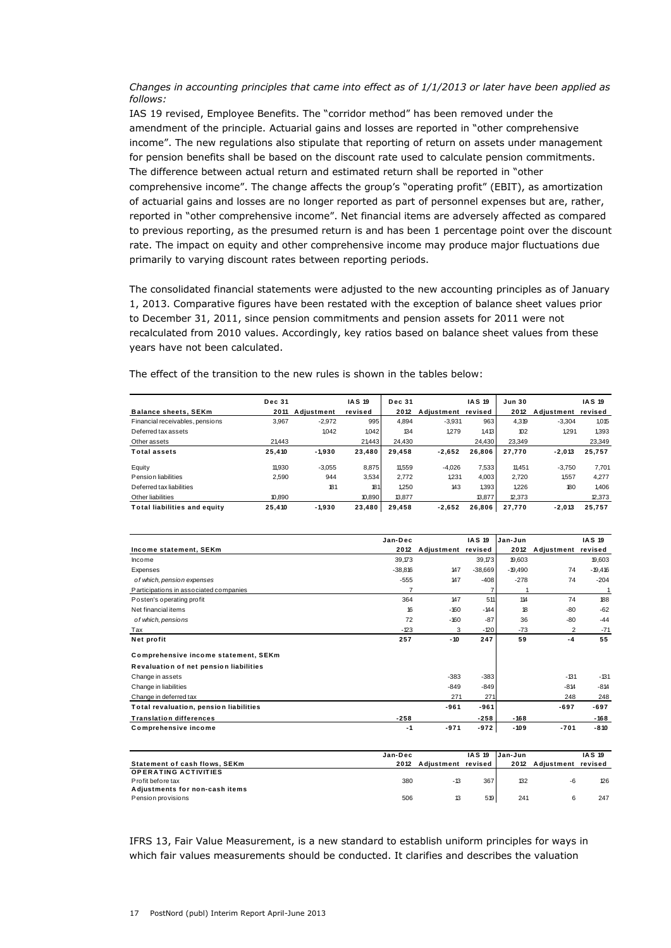*Changes in accounting principles that came into effect as of 1/1/2013 or later have been applied as follows:*

IAS 19 revised, Employee Benefits. The "corridor method" has been removed under the amendment of the principle. Actuarial gains and losses are reported in "other comprehensive income". The new regulations also stipulate that reporting of return on assets under management for pension benefits shall be based on the discount rate used to calculate pension commitments. The difference between actual return and estimated return shall be reported in "other comprehensive income". The change affects the group's "operating profit" (EBIT), as amortization of actuarial gains and losses are no longer reported as part of personnel expenses but are, rather, reported in "other comprehensive income". Net financial items are adversely affected as compared to previous reporting, as the presumed return is and has been 1 percentage point over the discount rate. The impact on equity and other comprehensive income may produce major fluctuations due primarily to varying discount rates between reporting periods.

The consolidated financial statements were adjusted to the new accounting principles as of January 1, 2013. Comparative figures have been restated with the exception of balance sheet values prior to December 31, 2011, since pension commitments and pension assets for 2011 were not recalculated from 2010 values. Accordingly, key ratios based on balance sheet values from these years have not been calculated.

|                                     | <b>Dec 31</b> |            | <b>IAS 19</b> | <b>Dec 31</b> |            | <b>IAS 19</b> | <b>Jun 30</b> |            | <b>IAS 19</b> |
|-------------------------------------|---------------|------------|---------------|---------------|------------|---------------|---------------|------------|---------------|
| <b>Balance sheets, SEKm</b>         | 2011          | Adjustment | revised       | 2012          | Adjustment | revised       | 2012          | Adjustment | revised       |
| Financial receivables, pensions     | 3.967         | $-2.972$   | 995           | 4.894         | $-3.931$   | 963           | 4.319         | $-3.304$   | 1,015         |
| Deferred tax assets                 |               | 1.042      | 1.042         | 134           | 1.279      | 1.413         | 102           | 1.291      | 1.393         |
| Other assets                        | 21.443        |            | 21443         | 24.430        |            | 24.430        | 23,349        |            | 23,349        |
| <b>Total assets</b>                 | 25,410        | $-1,930$   | 23,480        | 29,458        | $-2,652$   | 26.806        | 27,770        | $-2,013$   | 25,757        |
| Equity                              | 11,930        | $-3,055$   | 8,875         | 11,559        | $-4,026$   | 7,533         | 11.451        | $-3.750$   | 7,701         |
| Pension liabilities                 | 2,590         | 944        | 3,534         | 2.772         | 1.231      | 4.003         | 2.720         | 1.557      | 4.277         |
| Deferred tax liabilities            |               | 181        | 181           | 1.250         | 143        | 1.393         | 1.226         | 180        | 1.406         |
| Other liabilities                   | 10.890        |            | 10,890        | 13,877        |            | 13.877        | 12,373        |            | 12,373        |
| <b>Total liabilities and equity</b> | 25,410        | $-1,930$   | 23,480        | 29,458        | $-2,652$   | 26,806        | 27,770        | $-2,013$   | 25,757        |

| <b>Total Habilities and equity</b><br>25,410 | -1,930 | 23,480 29,458 |                    |               | $-2,652$ $26,806$ $21,110$ | -2,013             | 25,757        |
|----------------------------------------------|--------|---------------|--------------------|---------------|----------------------------|--------------------|---------------|
|                                              |        |               |                    |               |                            |                    |               |
|                                              |        | Jan-Dec       |                    | <b>IAS 19</b> | Jan-Jun                    |                    | <b>IAS 19</b> |
| Income statement, SEKm                       |        | 2012          | Adjustment revised |               | 2012                       | Adjustment revised |               |
| Income                                       |        | 39.173        |                    | 39,173        | 19,603                     |                    | 19,603        |
| Expenses                                     |        | $-38.816$     | 147                | $-38,669$     | $-19.490$                  | 74                 | $-19,416$     |
| of which, pension expenses                   |        | $-555$        | 147                | $-408$        | $-278$                     | 74                 | $-204$        |
| Participations in associated companies       |        | 7             |                    | 7             |                            |                    | 1             |
| Posten's operating profit                    |        | 364           | 147                | 511           | 114                        | 74                 | 188           |
| Net financial items                          |        | 16            | $-160$             | $-144$        | 18                         | -80                | $-62$         |
| of which, pensions                           |        | 72            | $-160$             | $-87$         | 36                         | -80                | $-44$         |
| Tax                                          |        | $-123$        | 3                  | $-120$        | $-73$                      | 2                  | $-71$         |
| Net profit                                   |        | 257           | $-10$              | 247           | 59                         | $-4$               | 55            |
| Comprehensive income statement, SEKm         |        |               |                    |               |                            |                    |               |
| Revaluation of net pension liabilities       |        |               |                    |               |                            |                    |               |
| Change in assets                             |        |               | $-383$             | $-383$        |                            | $-131$             | $-131$        |
| Change in liabilities                        |        |               | $-849$             | $-849$        |                            | $-814$             | $-814$        |
| Change in deferred tax                       |        |               | 271                | 271           |                            | 248                | 248           |
| Total revaluation, pension liabilities       |        |               | $-961$             | $-961$        |                            | $-697$             | $-697$        |
| <b>Translation differences</b>               |        | $-258$        |                    | $-258$        | $-168$                     |                    | $-168$        |
| Comprehensive income                         |        | $-1$          | $-971$             | $-972$        | $-109$                     | $-701$             | $-810$        |
|                                              |        |               |                    |               |                            |                    |               |

| Comprehensive income           | $-1$    | $-971$             | -972          | $-109$   | $-701$             | $-810$        |
|--------------------------------|---------|--------------------|---------------|----------|--------------------|---------------|
|                                |         |                    |               |          |                    |               |
|                                | Jan-Dec |                    | <b>IAS 19</b> | lJan-Jun |                    | <b>IAS 19</b> |
| Statement of cash flows, SEKm  | 2012    | Adiustment revised |               | 2012     | Adiustment revised |               |
| <b>OPERATING ACTIVITIES</b>    |         |                    |               |          |                    |               |
| Profit before tax              | 380     | $-13$              | 367           | 132      | -6                 | 126           |
| Adjustments for non-cash items |         |                    |               |          |                    |               |
| Pension provisions             | 506     | 13                 | 5191          | 241      |                    | 247           |

IFRS 13, Fair Value Measurement, is a new standard to establish uniform principles for ways in which fair values measurements should be conducted. It clarifies and describes the valuation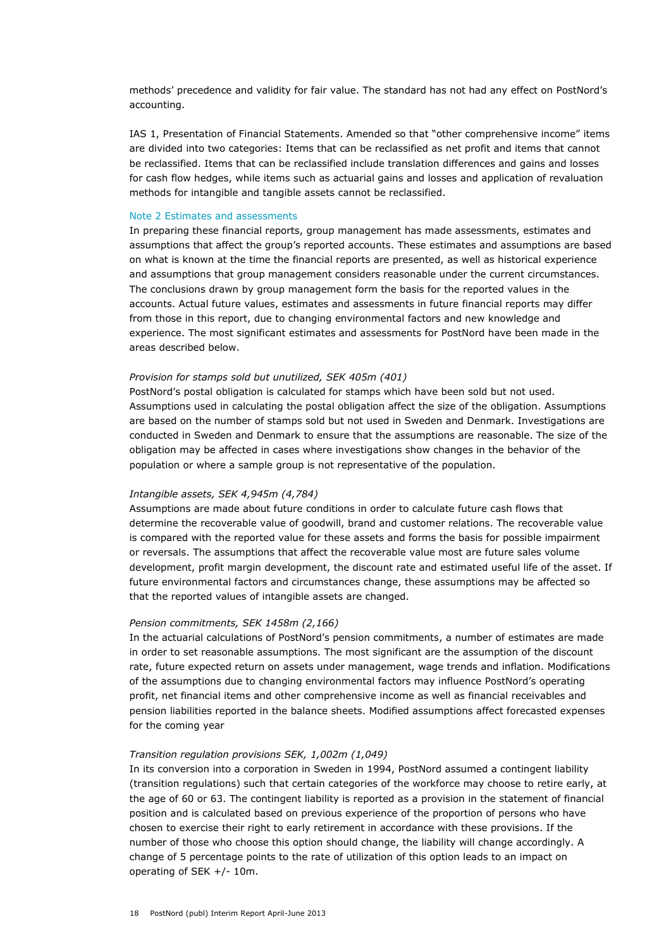methods' precedence and validity for fair value. The standard has not had any effect on PostNord's accounting.

IAS 1, Presentation of Financial Statements. Amended so that "other comprehensive income" items are divided into two categories: Items that can be reclassified as net profit and items that cannot be reclassified. Items that can be reclassified include translation differences and gains and losses for cash flow hedges, while items such as actuarial gains and losses and application of revaluation methods for intangible and tangible assets cannot be reclassified.

#### Note 2 Estimates and assessments

In preparing these financial reports, group management has made assessments, estimates and assumptions that affect the group's reported accounts. These estimates and assumptions are based on what is known at the time the financial reports are presented, as well as historical experience and assumptions that group management considers reasonable under the current circumstances. The conclusions drawn by group management form the basis for the reported values in the accounts. Actual future values, estimates and assessments in future financial reports may differ from those in this report, due to changing environmental factors and new knowledge and experience. The most significant estimates and assessments for PostNord have been made in the areas described below.

#### *Provision for stamps sold but unutilized, SEK 405m (401)*

PostNord's postal obligation is calculated for stamps which have been sold but not used. Assumptions used in calculating the postal obligation affect the size of the obligation. Assumptions are based on the number of stamps sold but not used in Sweden and Denmark. Investigations are conducted in Sweden and Denmark to ensure that the assumptions are reasonable. The size of the obligation may be affected in cases where investigations show changes in the behavior of the population or where a sample group is not representative of the population.

### *Intangible assets, SEK 4,945m (4,784)*

Assumptions are made about future conditions in order to calculate future cash flows that determine the recoverable value of goodwill, brand and customer relations. The recoverable value is compared with the reported value for these assets and forms the basis for possible impairment or reversals. The assumptions that affect the recoverable value most are future sales volume development, profit margin development, the discount rate and estimated useful life of the asset. If future environmental factors and circumstances change, these assumptions may be affected so that the reported values of intangible assets are changed.

### *Pension commitments, SEK 1458m (2,166)*

In the actuarial calculations of PostNord's pension commitments, a number of estimates are made in order to set reasonable assumptions. The most significant are the assumption of the discount rate, future expected return on assets under management, wage trends and inflation. Modifications of the assumptions due to changing environmental factors may influence PostNord's operating profit, net financial items and other comprehensive income as well as financial receivables and pension liabilities reported in the balance sheets. Modified assumptions affect forecasted expenses for the coming year

#### *Transition regulation provisions SEK, 1,002m (1,049)*

In its conversion into a corporation in Sweden in 1994, PostNord assumed a contingent liability (transition regulations) such that certain categories of the workforce may choose to retire early, at the age of 60 or 63. The contingent liability is reported as a provision in the statement of financial position and is calculated based on previous experience of the proportion of persons who have chosen to exercise their right to early retirement in accordance with these provisions. If the number of those who choose this option should change, the liability will change accordingly. A change of 5 percentage points to the rate of utilization of this option leads to an impact on operating of SEK +/- 10m.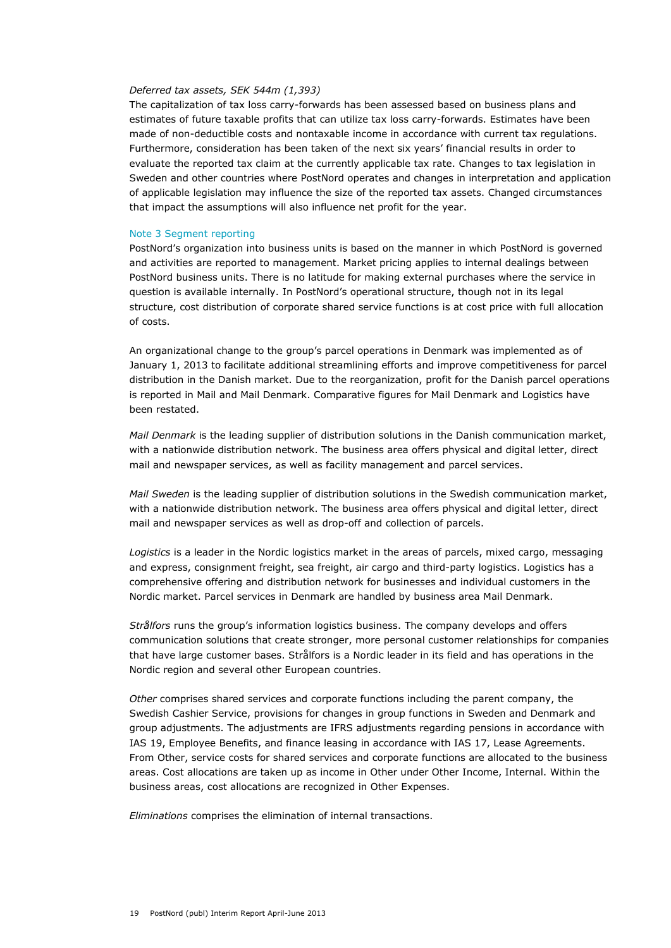#### *Deferred tax assets, SEK 544m (1,393)*

The capitalization of tax loss carry-forwards has been assessed based on business plans and estimates of future taxable profits that can utilize tax loss carry-forwards. Estimates have been made of non-deductible costs and nontaxable income in accordance with current tax regulations. Furthermore, consideration has been taken of the next six years' financial results in order to evaluate the reported tax claim at the currently applicable tax rate. Changes to tax legislation in Sweden and other countries where PostNord operates and changes in interpretation and application of applicable legislation may influence the size of the reported tax assets. Changed circumstances that impact the assumptions will also influence net profit for the year.

#### Note 3 Segment reporting

PostNord's organization into business units is based on the manner in which PostNord is governed and activities are reported to management. Market pricing applies to internal dealings between PostNord business units. There is no latitude for making external purchases where the service in question is available internally. In PostNord's operational structure, though not in its legal structure, cost distribution of corporate shared service functions is at cost price with full allocation of costs.

An organizational change to the group's parcel operations in Denmark was implemented as of January 1, 2013 to facilitate additional streamlining efforts and improve competitiveness for parcel distribution in the Danish market. Due to the reorganization, profit for the Danish parcel operations is reported in Mail and Mail Denmark. Comparative figures for Mail Denmark and Logistics have been restated.

*Mail Denmark* is the leading supplier of distribution solutions in the Danish communication market, with a nationwide distribution network. The business area offers physical and digital letter, direct mail and newspaper services, as well as facility management and parcel services.

*Mail Sweden* is the leading supplier of distribution solutions in the Swedish communication market, with a nationwide distribution network. The business area offers physical and digital letter, direct mail and newspaper services as well as drop-off and collection of parcels.

*Logistics* is a leader in the Nordic logistics market in the areas of parcels, mixed cargo, messaging and express, consignment freight, sea freight, air cargo and third-party logistics. Logistics has a comprehensive offering and distribution network for businesses and individual customers in the Nordic market. Parcel services in Denmark are handled by business area Mail Denmark.

*Strålfors* runs the group's information logistics business. The company develops and offers communication solutions that create stronger, more personal customer relationships for companies that have large customer bases. Strålfors is a Nordic leader in its field and has operations in the Nordic region and several other European countries.

*Other* comprises shared services and corporate functions including the parent company, the Swedish Cashier Service, provisions for changes in group functions in Sweden and Denmark and group adjustments. The adjustments are IFRS adjustments regarding pensions in accordance with IAS 19, Employee Benefits, and finance leasing in accordance with IAS 17, Lease Agreements. From Other, service costs for shared services and corporate functions are allocated to the business areas. Cost allocations are taken up as income in Other under Other Income, Internal. Within the business areas, cost allocations are recognized in Other Expenses.

*Eliminations* comprises the elimination of internal transactions.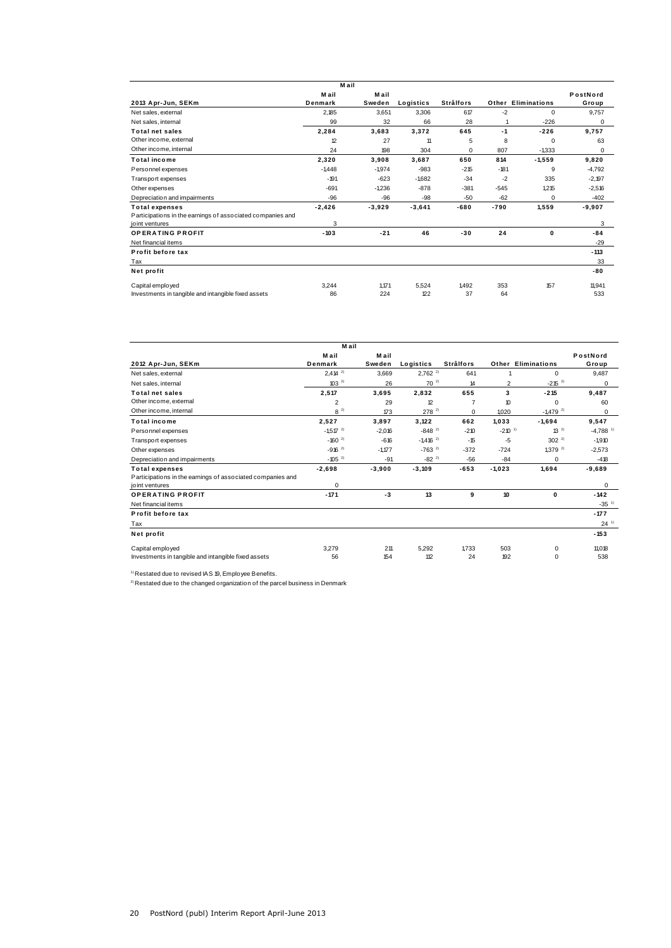|                                                            | M ail    |          |           |                  |        |                           |          |
|------------------------------------------------------------|----------|----------|-----------|------------------|--------|---------------------------|----------|
|                                                            | Mail     | Mail     |           |                  |        |                           | PostNord |
| 2013 Apr-Jun, SEKm                                         | Denmark  | Sweden   | Logistics | <b>Strålfors</b> |        | <b>Other Eliminations</b> | Group    |
| Net sales, external                                        | 2,185    | 3,651    | 3,306     | 617              | $-2$   | $\Omega$                  | 9,757    |
| Net sales, internal                                        | 99       | 32       | 66        | 28               |        | $-226$                    | 0        |
| <b>Total net sales</b>                                     | 2,284    | 3,683    | 3,372     | 645              | $-1$   | $-226$                    | 9.757    |
| Other income, external                                     | 12       | 27       | 11        | 5                | 8      | $\Omega$                  | 63       |
| Other income, internal                                     | 24       | 198      | 304       | $\mathbf 0$      | 807    | $-1,333$                  | 0        |
| <b>Total income</b>                                        | 2,320    | 3,908    | 3.687     | 650              | 814    | $-1,559$                  | 9,820    |
| Personnel expenses                                         | $-1.448$ | $-1974$  | $-983$    | $-215$           | $-181$ | 9                         | $-4,792$ |
| Transport expenses                                         | $-191$   | $-623$   | $-1,682$  | $-34$            | $-2$   | 335                       | $-2,197$ |
| Other expenses                                             | $-691$   | $-1236$  | $-878$    | $-381$           | $-545$ | 1.215                     | $-2.516$ |
| Depreciation and impairments                               | $-96$    | -96      | $-98$     | $-50$            | $-62$  | $\Omega$                  | $-402$   |
| <b>Total expenses</b>                                      | $-2,426$ | $-3,929$ | $-3,641$  | $-680$           | $-790$ | 1,559                     | $-9,907$ |
| Participations in the earnings of associated companies and |          |          |           |                  |        |                           |          |
| joint ventures                                             | 3        |          |           |                  |        |                           | 3        |
| <b>OPERATING PROFIT</b>                                    | $-103$   | $-21$    | 46        | $-30$            | 24     | 0                         | $-84$    |
| Net financial items                                        |          |          |           |                  |        |                           | $-29$    |
| Profit before tax                                          |          |          |           |                  |        |                           | $-113$   |
| Tax                                                        |          |          |           |                  |        |                           | 33       |
| Net profit                                                 |          |          |           |                  |        |                           | -80      |
| Capital employed                                           | 3.244    | 1.171    | 5.524     | 1492             | 353    | 157                       | 11,941   |
| Investments in tangible and intangible fixed assets        | 86       | 224      | 122       | 37               | 64     |                           | 533      |

|                                                                                                       | Mail                   |                 |                        |                  |                           |                        |                        |
|-------------------------------------------------------------------------------------------------------|------------------------|-----------------|------------------------|------------------|---------------------------|------------------------|------------------------|
| 2012 Apr-Jun, SEKm                                                                                    | Mail<br>Denmark        | M ail<br>Sweden | Logistics              | <b>Strålfors</b> | <b>Other Eliminations</b> |                        | PostNord<br>Group      |
| Net sales, external                                                                                   | $2,414^{2}$            | 3,669           | $2,762^{2}$            | 641              | 1                         | 0                      | 9,487                  |
| Net sales, internal                                                                                   | $103^{2}$              | 26              | $70^{2}$               | 14               | $\overline{2}$            | $-215^{2}$             | 0                      |
| <b>Total net sales</b>                                                                                | 2,517                  | 3,695           | 2,832                  | 655              | 3                         | $-215$                 | 9,487                  |
| Other income, external                                                                                | $\overline{2}$         | 29              | 12                     | $\overline{7}$   | 10                        | 0                      | 60                     |
| Other income, internal                                                                                | $8^{2}$                | 173             | $278^{2}$              | 0                | 1.020                     | $-1,479$ <sup>2)</sup> | 0                      |
| <b>Total income</b>                                                                                   | 2.527                  | 3.897           | 3.122                  | 662              | 1.033                     | $-1.694$               | 9,547                  |
| Personnel expenses                                                                                    | $-1.517$ <sup>2)</sup> | $-2.016$        | $-848^{2}$             | $-210$           | $-210^{-1}$               | $13^{2}$               | $-4.788$ <sup>1)</sup> |
| Transport expenses                                                                                    | $-160^{2}$             | $-616$          | $-1,416$ <sup>2)</sup> | $-15$            | -5                        | $302^{2}$              | $-1,910$               |
| Other expenses                                                                                        | $-916^{2}$             | $-1.177$        | $-763$ <sup>2)</sup>   | $-372$           | $-724$                    | $1.379^{2}$            | $-2,573$               |
| Depreciation and impairments                                                                          | $-105$ <sup>2)</sup>   | $-91$           | $-82^{2}$              | -56              | $-84$                     | 0                      | $-418$                 |
| <b>Total expenses</b><br>Participations in the earnings of associated companies and<br>joint ventures | $-2,698$<br>0          | $-3,900$        | $-3,109$               | $-653$           | $-1.023$                  | 1.694                  | $-9,689$<br>$\Omega$   |
| <b>OPERATING PROFIT</b>                                                                               | $-171$                 | $-3$            | 13                     | 9                | 10                        | $\mathbf 0$            | $-142$                 |
| Net financial items                                                                                   |                        |                 |                        |                  |                           |                        | $-35$ <sup>1)</sup>    |
| Profit before tax                                                                                     |                        |                 |                        |                  |                           |                        | $-177$                 |
| Tax                                                                                                   |                        |                 |                        |                  |                           |                        | $24^{11}$              |
| Net profit                                                                                            |                        |                 |                        |                  |                           |                        | $-153$                 |
| Capital employed                                                                                      | 3.279                  | 211             | 5.292                  | 1.733            | 503                       | $\mathbf 0$            | 11.018                 |
| Investments in tangible and intangible fixed assets                                                   | 56                     | 154             | 112                    | 24               | 192                       | $\Omega$               | 538                    |

 $1)$  Restated due to revised IAS 19, Employee Benefits.

 $^{2)}$  Restated due to the changed organization of the parcel business in Denmark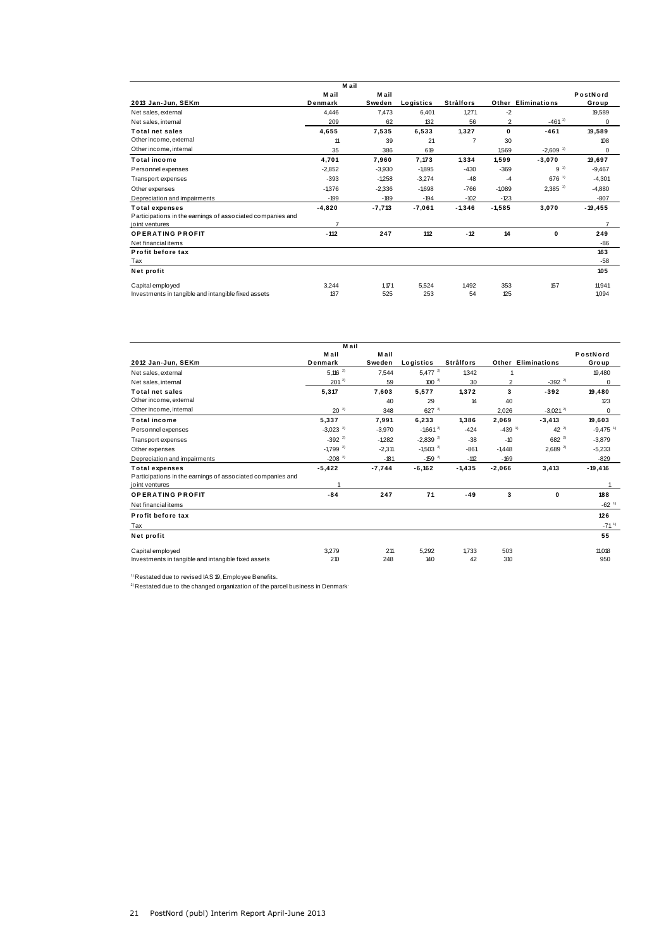|                                                            | Mail           |          |           |                  |          |                           |                |
|------------------------------------------------------------|----------------|----------|-----------|------------------|----------|---------------------------|----------------|
|                                                            | M ail          | M ail    |           |                  |          |                           | PostNord       |
| 2013 Jan-Jun, SEKm                                         | Denmark        | Sweden   | Logistics | <b>Strålfors</b> |          | <b>Other Eliminations</b> | Group          |
| Net sales, external                                        | 4.446          | 7,473    | 6,401     | 1.271            | $-2$     |                           | 19,589         |
| Net sales, internal                                        | 209            | 62       | 132       | 56               | 2        | $-461^{11}$               | 0              |
| <b>Total net sales</b>                                     | 4.655          | 7.535    | 6.533     | 1.327            | 0        | $-461$                    | 19.589         |
| Other income, external                                     | 11             | 39       | 21        | $\overline{7}$   | 30       |                           | 108            |
| Other income, internal                                     | 35             | 386      | 619       |                  | 1.569    | $-2.609$ <sup>1)</sup>    | 0              |
| <b>Total income</b>                                        | 4.701          | 7,960    | 7,173     | 1,334            | 1,599    | $-3,070$                  | 19,697         |
| Personnel expenses                                         | $-2,852$       | $-3,930$ | $-1.895$  | $-430$           | $-369$   | 9 <sup>1</sup>            | $-9,467$       |
| <b>Transport expenses</b>                                  | $-393$         | $-1.258$ | $-3,274$  | $-48$            | $-4$     | 676 1)                    | $-4,301$       |
| Other expenses                                             | $-1,376$       | $-2,336$ | $-1,698$  | $-766$           | $-1089$  | $2,385$ <sup>1)</sup>     | $-4,880$       |
| Depreciation and impairments                               | $-199$         | $-189$   | $-194$    | $-102$           | $-123$   |                           | $-807$         |
| <b>Total expenses</b>                                      | $-4,820$       | $-7,713$ | $-7,061$  | $-1,346$         | $-1,585$ | 3,070                     | $-19, 455$     |
| Participations in the earnings of associated companies and |                |          |           |                  |          |                           |                |
| joint ventures                                             | $\overline{7}$ |          |           |                  |          |                           | $\overline{7}$ |
| <b>OPERATING PROFIT</b>                                    | $-112$         | 247      | 112       | $-12$            | 14       | 0                         | 249            |
| Net financial items                                        |                |          |           |                  |          |                           | $-86$          |
| Profit before tax                                          |                |          |           |                  |          |                           | 163            |
| Tax                                                        |                |          |           |                  |          |                           | $-58$          |
| Net profit                                                 |                |          |           |                  |          |                           | 105            |
| Capital employed                                           | 3.244          | 1.171    | 5,524     | 1.492            | 353      | 157                       | 11,941         |
| Investments in tangible and intangible fixed assets        | 137            | 525      | 253       | 54               | 125      |                           | 1,094          |

|                                                                                                       | M ail                  |                 |                        |                  |                      |                           |                        |
|-------------------------------------------------------------------------------------------------------|------------------------|-----------------|------------------------|------------------|----------------------|---------------------------|------------------------|
| 2012 Jan-Jun, SEKm                                                                                    | Mail<br>Denmark        | M ail<br>Sweden | Logistics              | <b>Strålfors</b> |                      | <b>Other Eliminations</b> | PostNord<br>Group      |
| Net sales, external                                                                                   | $5.116^{2}$            | 7.544           | $5,477^{2}$            | 1.342            |                      |                           | 19,480                 |
| Net sales, internal                                                                                   | $201^{2}$              | 59              | $100^{2}$              | 30               | $\overline{2}$       | $-392^{2}$                | 0                      |
| <b>Total net sales</b>                                                                                | 5,317                  | 7,603           | 5,577                  | 1,372            | 3                    | $-392$                    | 19,480                 |
| Other income, external                                                                                |                        | 40              | 29                     | 14               | 40                   |                           | 123                    |
| Other income, internal                                                                                | $20^{-2}$              | 348             | $627^{2}$              |                  | 2.026                | $-3,021^{2}$              | 0                      |
| <b>Total income</b>                                                                                   | 5,337                  | 7,991           | 6.233                  | 1.386            | 2,069                | $-3, 413$                 | 19,603                 |
| Personnel expenses                                                                                    | $-3.023$ <sup>2)</sup> | $-3.970$        | $-1,661^{2}$           | $-424$           | $-439$ <sup>1)</sup> | $42^{2}$                  | $-9,475$ <sup>1)</sup> |
| Transport expenses                                                                                    | $-392^{2}$             | $-1.282$        | $-2,839^{2}$           | $-38$            | $-10$                | $682^{2}$                 | $-3,879$               |
| Other expenses                                                                                        | $-1,799$ <sup>2)</sup> | $-2.311$        | $-1,503$ <sup>2)</sup> | $-861$           | $-1.448$             | $2,689^{2}$               | $-5,233$               |
| Depreciation and impairments                                                                          | $-208$ <sup>2)</sup>   | $-181$          | $-159^{2}$             | $-112$           | $-169$               |                           | $-829$                 |
| <b>Total expenses</b><br>Participations in the earnings of associated companies and<br>joint ventures | $-5,422$<br>1          | $-7.744$        | $-6,162$               | $-1,435$         | $-2,066$             | 3,413                     | $-19,416$              |
| <b>OPERATING PROFIT</b>                                                                               | $-84$                  | 247             | 71                     | $-49$            | 3                    | $\mathbf 0$               | 188                    |
| Net financial items                                                                                   |                        |                 |                        |                  |                      |                           | $-62$ <sup>1)</sup>    |
| Profit before tax                                                                                     |                        |                 |                        |                  |                      |                           | 126                    |
| Tax                                                                                                   |                        |                 |                        |                  |                      |                           | $-71^{11}$             |
| Net profit                                                                                            |                        |                 |                        |                  |                      |                           | 55                     |
| Capital employed                                                                                      | 3,279                  | 211             | 5,292                  | 1.733            | 503                  |                           | 11,018                 |
| Investments in tangible and intangible fixed assets                                                   | 210                    | 248             | 140                    | 42               | 310                  |                           | 950                    |

 $1)$  Restated due to revised IAS 19, Employee Benefits.

 ${}^{2)}$  Restated due to the changed organization of the parcel business in Denmark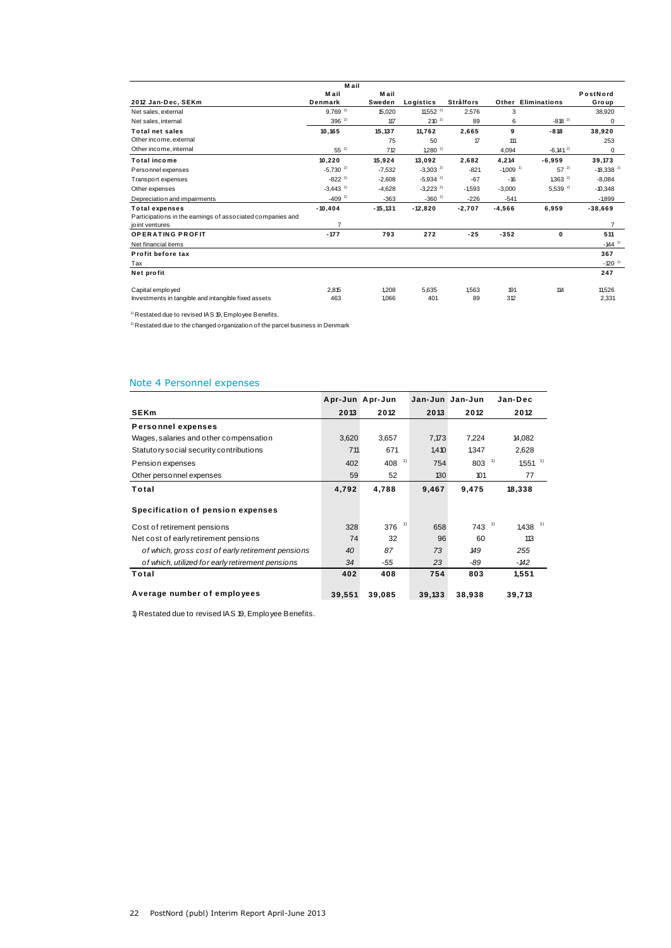|                                                            | Mail                   |            |                        |                  |                        |                     |                         |
|------------------------------------------------------------|------------------------|------------|------------------------|------------------|------------------------|---------------------|-------------------------|
|                                                            | M ail                  | Mail       |                        |                  |                        |                     | PostNord                |
| 2012 Jan-Dec, SEKm                                         | Denmark                | Sweden     | Logistics              | <b>Strålfors</b> |                        | Other Eliminations  | Group                   |
| Net sales, external                                        | $9.769^{2}$            | 15.020     | 11,552 $^{2}$          | 2.576            | 3                      |                     | 38,920                  |
| Net sales, internal                                        | $396^{2}$              | 117        | $210^{-2}$             | 89               | 6                      | $-818^{2}$          | 0                       |
| <b>Total net sales</b>                                     | 10,165                 | 15,137     | 11.762                 | 2,665            | 9                      | $-818$              | 38,920                  |
| Other income, external                                     |                        | 75         | 50                     | 17               | 111                    |                     | 253                     |
| Other income, internal                                     | $55^{2}$               | 712        | $1,280^{2}$            |                  | 4,094                  | $-6.141^{2}$        | 0                       |
| <b>Total income</b>                                        | 10,220                 | 15.924     | 13,092                 | 2,682            | 4,214                  | $-6,959$            | 39,173                  |
| Personnel expenses                                         | $-5,730^{2}$           | $-7.532$   | $-3,303^{2}$           | $-821$           | $-1,009$ <sup>1)</sup> | $57^{2}$            | $-18,338$ <sup>1)</sup> |
| Transport expenses                                         | $-822^{2}$             | $-2,608$   | $-5,934^{2}$           | $-67$            | $-16$                  | $1,363^{2}$         | $-8,084$                |
| Other expenses                                             | $-3.443$ <sup>2)</sup> | $-4.628$   | $-3.223$ <sup>2)</sup> | $-1.593$         | $-3.000$               | 5,539 <sup>2)</sup> | $-10,348$               |
| Depreciation and impairments                               | $-409^{2}$             | $-363$     | $-360^{2}$             | $-226$           | $-541$                 |                     | $-1899$                 |
| <b>Total expenses</b>                                      | $-10, 404$             | $-15, 131$ | $-12,820$              | $-2,707$         | $-4,566$               | 6,959               | $-38,669$               |
| Participations in the earnings of associated companies and |                        |            |                        |                  |                        |                     |                         |
| joint ventures                                             | $\overline{7}$         |            |                        |                  |                        |                     | $\overline{7}$          |
| <b>OPERATING PROFIT</b>                                    | $-177$                 | 793        | 272                    | $-25$            | $-352$                 | $\mathbf 0$         | 511                     |
| Net financial items                                        |                        |            |                        |                  |                        |                     | $-144$ <sup>1)</sup>    |
| Profit before tax                                          |                        |            |                        |                  |                        |                     | 367                     |
| Tax                                                        |                        |            |                        |                  |                        |                     | $-120$ <sup>1)</sup>    |
| Net profit                                                 |                        |            |                        |                  |                        |                     | 247                     |
| Capital employed                                           | 2.815                  | 1.208      | 5.635                  | 1.563            | 191                    | 114                 | 11.526                  |
| Investments in tangible and intangible fixed assets        | 463                    | 1.066      | 401                    | 89               | 312                    |                     | 2,331                   |

 $1)$  Restated due to revised IAS 19, Employee Benefits.

 $^{2)}$  Restated due to the changed organization of the parcel business in Denmark

# Note 4 Personnel expenses

| Note 4 Personnel expenses                         |        |                 |        |                 |                             |
|---------------------------------------------------|--------|-----------------|--------|-----------------|-----------------------------|
|                                                   |        | Apr-Jun Apr-Jun |        | Jan-Jun Jan-Jun | Jan-Dec                     |
| <b>SEKm</b>                                       | 2013   | 2012            | 2013   | 2012            | 2012                        |
| <b>Personnel expenses</b>                         |        |                 |        |                 |                             |
| Wages, salaries and other compensation            | 3,620  | 3,657           | 7,173  | 7,224           | 14,082                      |
| Statutory social security contributions           | 711    | 671             | 1,410  | 1,347           | 2,628                       |
| Pension expenses                                  | 402    | 1)<br>408       | 754    | 803             | 1)<br>$1,551$ <sup>1)</sup> |
| Other personnel expenses                          | 59     | 52              | 130    | 101             | 77                          |
| Total                                             | 4,792  | 4,788           | 9,467  | 9,475           | 18,338                      |
| Specification of pension expenses                 |        |                 |        |                 |                             |
| Cost of retirement pensions                       | 328    | 1)<br>376       | 658    | $743^{11}$      | $1,438$ <sup>1)</sup>       |
| Net cost of early retirement pensions             | 74     | 32              | 96     | 60              | 113                         |
| of which, gross cost of early retirement pensions | 40     | 87              | 73     | 149             | 255                         |
| of which, utilized for early retirement pensions  | 34     | -55             | 23     | -89             | -142                        |
| Total                                             | 402    | 408             | 754    | 803             | 1,551                       |
| Average number of employees                       | 39,551 | 39,085          | 39,133 | 38,938          | 39,713                      |

1) Restated due to revised IAS 19, Employee Benefits.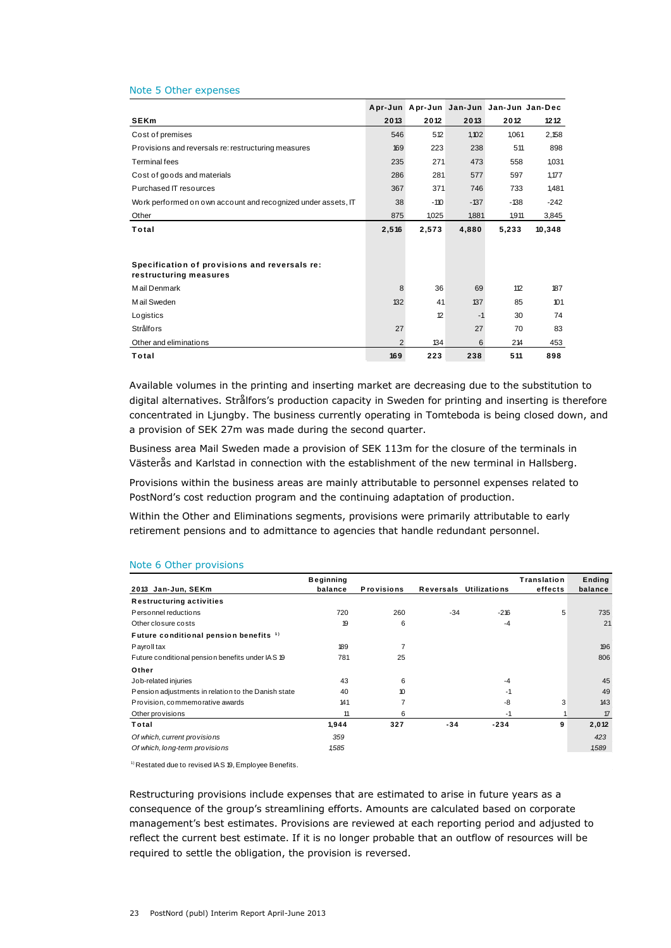#### Note 5 Other expenses

| Note 5 Other expenses                                                   |                |                                         |        |        |        |
|-------------------------------------------------------------------------|----------------|-----------------------------------------|--------|--------|--------|
|                                                                         |                | Apr-Jun Apr-Jun Jan-Jun Jan-Jun Jan-Dec |        |        |        |
| <b>SEKm</b>                                                             | 2013           | 2012                                    | 2013   | 2012   | 1212   |
| Cost of premises                                                        | 546            | 512                                     | 1.102  | 1.061  | 2,158  |
| Provisions and reversals re: restructuring measures                     | 169            | 223                                     | 238    | 511    | 898    |
| <b>Terminal fees</b>                                                    | 235            | 271                                     | 473    | 558    | 1,031  |
| Cost of goods and materials                                             | 286            | 281                                     | 577    | 597    | 1,177  |
| Purchased IT resources                                                  | 367            | 371                                     | 746    | 733    | 1,481  |
| Work performed on own account and recognized under assets, IT           | 38             | $-110$                                  | $-137$ | $-138$ | $-242$ |
| Other                                                                   | 875            | 1.025                                   | 1,881  | 1,911  | 3,845  |
| Total                                                                   | 2,516          | 2,573                                   | 4,880  | 5,233  | 10,348 |
|                                                                         |                |                                         |        |        |        |
| Specification of provisions and reversals re:<br>restructuring measures |                |                                         |        |        |        |
| Mail Denmark                                                            | 8              | 36                                      | 69     | 112    | 187    |
| M ail Sweden                                                            | 132            | 41                                      | 137    | 85     | 101    |
| Logistics                                                               |                | 12                                      | $-1$   | 30     | 74     |
| <b>Strålfors</b>                                                        | 27             |                                         | 27     | 70     | 83     |
| Other and eliminations                                                  | $\overline{2}$ | 134                                     | 6      | 214    | 453    |
| Total                                                                   | 169            | 223                                     | 238    | 511    | 898    |

Available volumes in the printing and inserting market are decreasing due to the substitution to digital alternatives. Strålfors's production capacity in Sweden for printing and inserting is therefore concentrated in Ljungby. The business currently operating in Tomteboda is being closed down, and a provision of SEK 27m was made during the second quarter.

Business area Mail Sweden made a provision of SEK 113m for the closure of the terminals in Västerås and Karlstad in connection with the establishment of the new terminal in Hallsberg.

Provisions within the business areas are mainly attributable to personnel expenses related to PostNord's cost reduction program and the continuing adaptation of production.

Within the Other and Eliminations segments, provisions were primarily attributable to early retirement pensions and to admittance to agencies that handle redundant personnel.

|                                                     | <b>Beginning</b> |                   |           |                     | Translation | Ending  |
|-----------------------------------------------------|------------------|-------------------|-----------|---------------------|-------------|---------|
| 2013 Jan-Jun, SEKm                                  | balance          | <b>Provisions</b> | Reversals | <b>Utilizations</b> | effects     | balance |
| <b>Restructuring activities</b>                     |                  |                   |           |                     |             |         |
| Personnel reductions                                | 720              | 260               | $-34$     | $-216$              | 5           | 735     |
| Other closure costs                                 | 19               | 6                 |           | $-4$                |             | 21      |
| Future conditional pension benefits <sup>1)</sup>   |                  |                   |           |                     |             |         |
| Payroll tax                                         | 189              | $\overline{7}$    |           |                     |             | 196     |
| Future conditional pension benefits under IAS 19    | 781              | 25                |           |                     |             | 806     |
| Other                                               |                  |                   |           |                     |             |         |
| Job-related injuries                                | 43               | 6                 |           | $-4$                |             | 45      |
| Pension adjustments in relation to the Danish state | 40               | 10                |           | $-1$                |             | 49      |
| Provision, commemorative awards                     | 141              |                   |           | -8                  | 3           | 143     |
| Other provisions                                    | 11               | 6                 |           | $-1$                |             | 17      |
| Total                                               | 1,944            | 327               | $-34$     | $-234$              | 9           | 2,012   |
| Of which, current provisions                        | 359              |                   |           |                     |             | 423     |
| Of which, long-term provisions                      | 1,585            |                   |           |                     |             | 1,589   |

#### Note 6 Other provisions

<sup>1)</sup> Restated due to revised IAS 19, Employee Benefits.

Restructuring provisions include expenses that are estimated to arise in future years as a consequence of the group's streamlining efforts. Amounts are calculated based on corporate management's best estimates. Provisions are reviewed at each reporting period and adjusted to reflect the current best estimate. If it is no longer probable that an outflow of resources will be required to settle the obligation, the provision is reversed.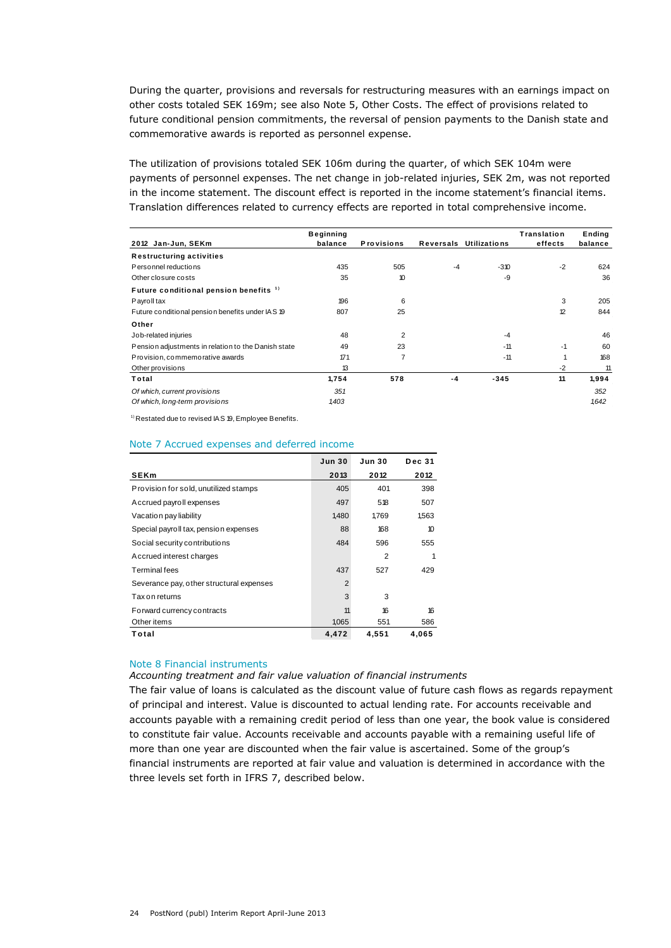During the quarter, provisions and reversals for restructuring measures with an earnings impact on other costs totaled SEK 169m; see also Note 5, Other Costs. The effect of provisions related to future conditional pension commitments, the reversal of pension payments to the Danish state and commemorative awards is reported as personnel expense.

The utilization of provisions totaled SEK 106m during the quarter, of which SEK 104m were payments of personnel expenses. The net change in job-related injuries, SEK 2m, was not reported in the income statement. The discount effect is reported in the income statement's financial items.

|                                                     | <b>Beginning</b> |                   |           |                     | Translation | Ending  |
|-----------------------------------------------------|------------------|-------------------|-----------|---------------------|-------------|---------|
| 2012 Jan-Jun, SEKm                                  | balance          | <b>Provisions</b> | Reversals | <b>Utilizations</b> | effects     | balance |
| <b>Restructuring activities</b>                     |                  |                   |           |                     |             |         |
| Personnel reductions                                | 435              | 505               | $-4$      | $-310$              | $-2$        | 624     |
| Other closure costs                                 | 35               | 10                |           | -9                  |             | 36      |
| Future conditional pension benefits <sup>1)</sup>   |                  |                   |           |                     |             |         |
| Payroll tax                                         | 196              | 6                 |           |                     | 3           | 205     |
| Future conditional pension benefits under IAS 19    | 807              | 25                |           |                     | 12          | 844     |
| Other                                               |                  |                   |           |                     |             |         |
| Job-related injuries                                | 48               | $\overline{2}$    |           | $-4$                |             | 46      |
| Pension adjustments in relation to the Danish state | 49               | 23                |           | $-11$               | $-1$        | 60      |
| Provision, commemorative awards                     | 171              | $\overline{7}$    |           | $-11$               |             | 168     |
| Other provisions                                    | 13               |                   |           |                     | $-2$        | 11      |
| Total                                               | 1,754            | 578               | -4        | $-345$              | 11          | 1,994   |
| Of which, current provisions                        | 351              |                   |           |                     |             | 352     |
| Of which, long-term provisions                      | 1,403            |                   |           |                     |             | 1642    |

1) Restated due to revised IAS 19, Employee Benefits.

#### Note 7 Accrued expenses and deferred income

| Note 7 Accrued expenses and deferred income |                |               |               |
|---------------------------------------------|----------------|---------------|---------------|
|                                             | <b>Jun 30</b>  | <b>Jun 30</b> | <b>Dec 31</b> |
| <b>SEKm</b>                                 | 2013           | 2012          | 2012          |
| Provision for sold, unutilized stamps       | 405            | 401           | 398           |
| Accrued payroll expenses                    | 497            | 518           | 507           |
| Vacation pay liability                      | 1,480          | 1,769         | 1,563         |
| Special payroll tax, pension expenses       | 88             | 168           | 10            |
| Social security contributions               | 484            | 596           | 555           |
| Accrued interest charges                    |                | 2             | 1             |
| Terminal fees                               | 437            | 527           | 429           |
| Severance pay, other structural expenses    | $\overline{2}$ |               |               |
| Tax on returns                              | 3              | 3             |               |
| Forward currency contracts                  | 11             | 16            | 16            |
| Other items                                 | 1,065          | 551           | 586           |
| Total                                       | 4,472          | 4,551         | 4,065         |

#### Note 8 Financial instruments

#### *Accounting treatment and fair value valuation of financial instruments*

The fair value of loans is calculated as the discount value of future cash flows as regards repayment of principal and interest. Value is discounted to actual lending rate. For accounts receivable and accounts payable with a remaining credit period of less than one year, the book value is considered to constitute fair value. Accounts receivable and accounts payable with a remaining useful life of more than one year are discounted when the fair value is ascertained. Some of the group's financial instruments are reported at fair value and valuation is determined in accordance with the three levels set forth in IFRS 7, described below.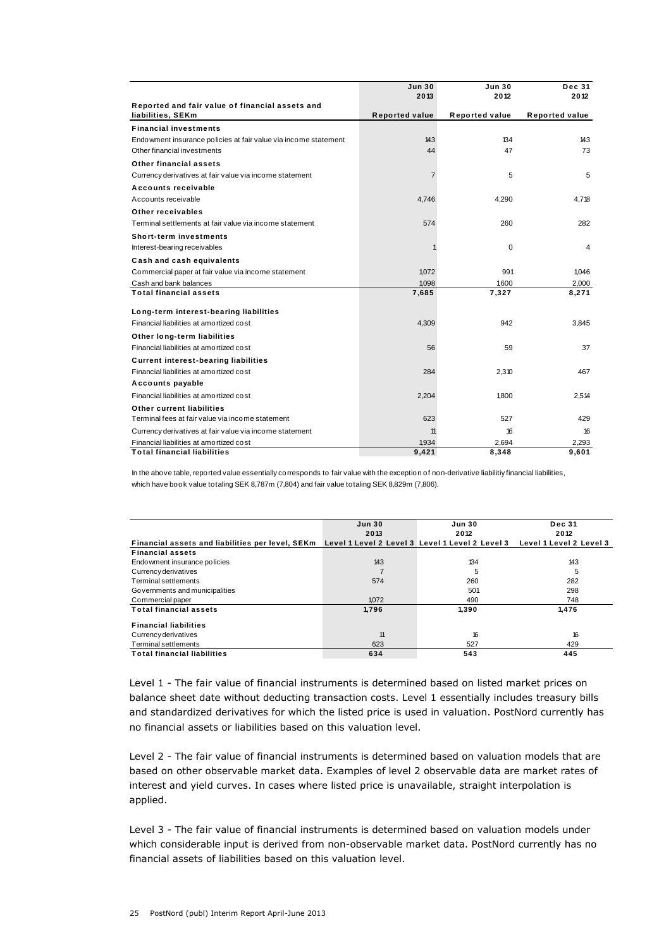|                                                                               | <b>Jun 30</b>         | <b>Jun 30</b>         | <b>Dec 31</b>         |
|-------------------------------------------------------------------------------|-----------------------|-----------------------|-----------------------|
|                                                                               | 2013                  | 2012                  | 2012                  |
| Reported and fair value of financial assets and                               |                       |                       |                       |
| liabilities, SEKm                                                             | <b>Reported value</b> | <b>Reported value</b> | <b>Reported value</b> |
| <b>Financial investments</b>                                                  |                       |                       |                       |
| Endowment insurance policies at fair value via income statement               | 143                   | 134                   | 143                   |
| Other financial investments                                                   | 44                    | 47                    | 73                    |
| Other financial assets                                                        |                       |                       |                       |
| Currency derivatives at fair value via income statement                       | $\overline{7}$        | 5                     | 5                     |
| Accounts receivable                                                           |                       |                       |                       |
| Accounts receivable                                                           | 4,746                 | 4,290                 | 4,718                 |
| Other receivables                                                             |                       |                       |                       |
| Terminal settlements at fair value via income statement                       | 574                   | 260                   | 282                   |
| <b>Short-term investments</b>                                                 |                       |                       |                       |
| Interest-bearing receivables                                                  |                       | 0                     | 4                     |
| Cash and cash equivalents                                                     |                       |                       |                       |
| Commercial paper at fair value via income statement                           | 1,072                 | 991                   | 1,046                 |
| Cash and bank balances                                                        | 1.098                 | 1,600                 | 2.000                 |
| <b>Total financial assets</b>                                                 | 7,685                 | 7,327                 | 8,271                 |
| Long-term interest-bearing liabilities                                        |                       |                       |                       |
| Financial liabilities at amortized cost                                       | 4,309                 | 942                   | 3.845                 |
|                                                                               |                       |                       |                       |
| Other long-term liabilities<br>Financial liabilities at amortized cost        |                       |                       |                       |
|                                                                               | 56                    | 59                    | 37                    |
| <b>Current interest-bearing liabilities</b>                                   |                       |                       |                       |
| Financial liabilities at amortized cost                                       | 284                   | 2,310                 | 467                   |
| Accounts payable                                                              |                       |                       |                       |
| Financial liabilities at amortized cost                                       | 2,204                 | 1.800                 | 2,514                 |
| Other current liabilities                                                     |                       |                       |                       |
| Terminal fees at fair value via income statement                              | 623                   | 527                   | 429                   |
| Currency derivatives at fair value via income statement                       | 11                    | 16                    | 16                    |
| Financial liabilities at amortized cost<br><b>Total financial liabilities</b> | 1,934                 | 2,694                 | 2,293                 |
|                                                                               | 9,421                 | 8,348                 | 9,601                 |

In the above table, reported value essentially corresponds to fair value with the exception of non-derivative liabilitiy financial liabilities, which have book value totaling SEK 8,787m (7,804) and fair value totaling SEK 8,829m (7,806).

|                                                  | <b>Jun 30</b> | <b>Jun 30</b>                                   | <b>Dec 31</b>           |
|--------------------------------------------------|---------------|-------------------------------------------------|-------------------------|
|                                                  | 2013          | 2012                                            | 2012                    |
| Financial assets and liabilities per level, SEKm |               | Level 1 Level 2 Level 3 Level 1 Level 2 Level 3 | Level 1 Level 2 Level 3 |
| <b>Financial assets</b>                          |               |                                                 |                         |
| Endowment insurance policies                     | 143           | 134                                             | 143                     |
| Currency derivatives                             |               | 5                                               | 5                       |
| Terminal settlements                             | 574           | 260                                             | 282                     |
| Governments and municipalities                   |               | 501                                             | 298                     |
| Commercial paper                                 | 1,072         | 490                                             | 748                     |
| <b>Total financial assets</b>                    | 1,796         | 1,390                                           | 1,476                   |
| <b>Financial liabilities</b>                     |               |                                                 |                         |
| Currency derivatives                             | 11            | 16                                              | 16                      |
| Terminal settlements                             | 623           | 527                                             | 429                     |
| <b>Total financial liabilities</b>               | 634           | 543                                             | 445                     |

Level 1 - The fair value of financial instruments is determined based on listed market prices on balance sheet date without deducting transaction costs. Level 1 essentially includes treasury bills and standardized derivatives for which the listed price is used in valuation. PostNord currently has no financial assets or liabilities based on this valuation level.

Level 2 - The fair value of financial instruments is determined based on valuation models that are based on other observable market data. Examples of level 2 observable data are market rates of interest and yield curves. In cases where listed price is unavailable, straight interpolation is applied.

Level 3 - The fair value of financial instruments is determined based on valuation models under which considerable input is derived from non-observable market data. PostNord currently has no financial assets of liabilities based on this valuation level.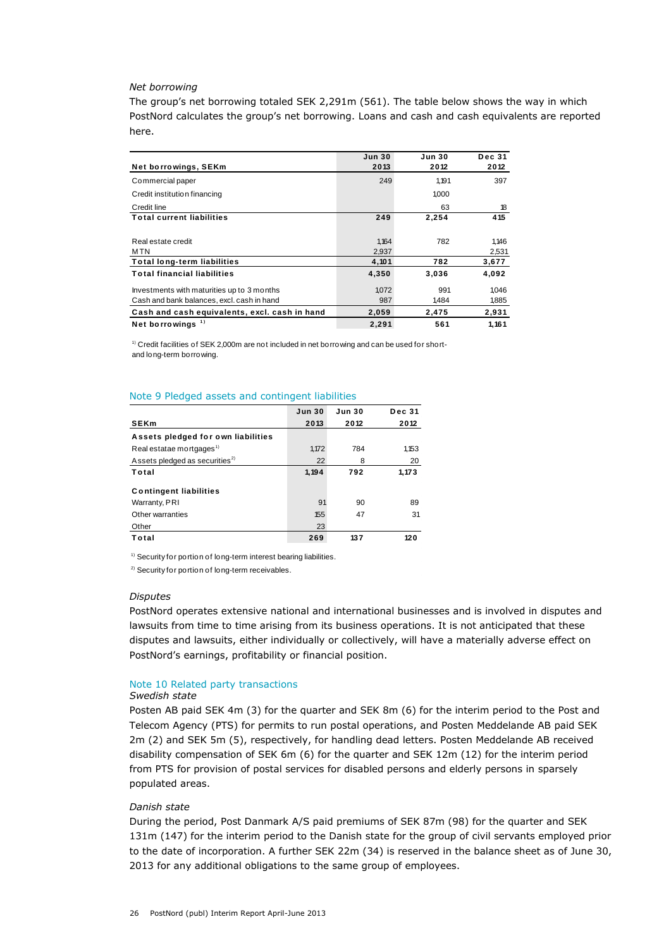#### *Net borrowing*

The group's net borrowing totaled SEK 2,291m (561). The table below shows the way in which PostNord calculates the group's net borrowing. Loans and cash and cash equivalents are reported here.

| ייכו כ.                                                                                                                                       |               |                       |               |                       |                       |
|-----------------------------------------------------------------------------------------------------------------------------------------------|---------------|-----------------------|---------------|-----------------------|-----------------------|
| Net borrowings, SEKm                                                                                                                          |               | <b>Jun 30</b><br>2013 |               | <b>Jun 30</b><br>2012 | <b>Dec 31</b><br>2012 |
| Commercial paper                                                                                                                              |               |                       | 249           | 1,191                 | 397                   |
| Credit institution financing                                                                                                                  |               |                       |               | 1,000                 |                       |
| Credit line                                                                                                                                   |               |                       |               | 63                    | 18                    |
| <b>Total current liabilities</b>                                                                                                              |               |                       | 249           | 2,254                 | 415                   |
| Real estate credit<br>MTN                                                                                                                     | 2,937         | 1,164                 | 782           | 1,146<br>2,531        |                       |
| <b>Total long-term liabilities</b>                                                                                                            | 4,101         |                       | 782           | 3,677                 |                       |
| <b>Total financial liabilities</b>                                                                                                            |               | 4,350                 |               | 3,036                 | 4,092                 |
| Investments with maturities up to 3 months<br>Cash and bank balances, excl. cash in hand                                                      |               |                       | 1,072<br>987  | 991<br>1,484          | 1,046<br>1,885        |
| Cash and cash equivalents, excl. cash in hand                                                                                                 |               | 2,059                 |               | 2,475                 | 2,931                 |
| Net borrowings $1$<br>$\rm{^{1}}$ Credit facilities of SEK 2,000m are not included in net borrowing and can be used for short-                |               | 2,291                 |               | 561                   | 1,161                 |
| and long-term borrowing.<br>Note 9 Pledged assets and contingent liabilities                                                                  |               |                       |               |                       |                       |
|                                                                                                                                               | <b>Jun 30</b> | Jun 30                | <b>Dec 31</b> |                       |                       |
| <b>SEKm</b>                                                                                                                                   | 2013          | 2012                  | 2012          |                       |                       |
| Assets pledged for own liabilities<br>Real estatae mortgages <sup>1)</sup>                                                                    | 1,172         | 784                   | 1,153         |                       |                       |
| Assets pledged as securities <sup>2)</sup>                                                                                                    | 22            | 8                     | 20            |                       |                       |
| Total                                                                                                                                         | 1,194         | 792                   | 1,173         |                       |                       |
| <b>Contingent liabilities</b>                                                                                                                 |               |                       |               |                       |                       |
| Warranty, PRI                                                                                                                                 | 91            | 90                    | 89            |                       |                       |
| Other warranties                                                                                                                              | 155           | 47                    | 31            |                       |                       |
| Other                                                                                                                                         | 23            |                       |               |                       |                       |
| Total                                                                                                                                         | 269           | 137                   | 120           |                       |                       |
| <sup>1)</sup> Security for portion of long-term interest bearing liabilities.<br><sup>2)</sup> Security for portion of long-term receivables. |               |                       |               |                       |                       |
| <b>Disputes</b>                                                                                                                               |               |                       |               |                       |                       |
| PostNord operates extensive national and international businesses and is involv                                                               |               |                       |               |                       |                       |
| lawsuits from time to time arising from its business operations. It is not anticip                                                            |               |                       |               |                       |                       |
| disputes and lawsuits, either individually or collectively, will have a materially a                                                          |               |                       |               |                       |                       |
| PostNord's earnings, profitability or financial position.                                                                                     |               |                       |               |                       |                       |
| Note 10 Related party transactions                                                                                                            |               |                       |               |                       |                       |
| Swedish state                                                                                                                                 |               |                       |               |                       |                       |
| Posten AB paid SEK 4m (3) for the quarter and SEK 8m (6) for the interim peri-                                                                |               |                       |               |                       |                       |
| Telecom Agency (PTS) for permits to run postal operations, and Posten Meddel                                                                  |               |                       |               |                       |                       |
| 2m (2) and SEK 5m (5), respectively, for handling dead letters. Posten Meddela                                                                |               |                       |               |                       |                       |
| disability compensation of SEK 6m (6) for the quarter and SEK 12m (12) for th                                                                 |               |                       |               |                       |                       |
| from PTS for provision of postal services for disabled persons and elderly perso                                                              |               |                       |               |                       |                       |
| populated areas.                                                                                                                              |               |                       |               |                       |                       |
|                                                                                                                                               |               |                       |               |                       |                       |
| Danish state                                                                                                                                  |               |                       |               |                       |                       |
| During the period, Post Danmark A/S paid premiums of SEK 87m (98) for the c                                                                   |               |                       |               |                       |                       |
| 131m (147) for the interim period to the Danish state for the group of civil serv                                                             |               |                       |               |                       |                       |
| to the date of incorporation. A further SEK 22m (34) is reserved in the balance                                                               |               |                       |               |                       |                       |
| 2013 for any additional obligations to the same group of employees.                                                                           |               |                       |               |                       |                       |

| Note 9 Pledged assets and contingent liabilities |                                |      |       |  |  |  |  |  |
|--------------------------------------------------|--------------------------------|------|-------|--|--|--|--|--|
|                                                  | <b>Jun 30</b><br><b>Jun 30</b> |      |       |  |  |  |  |  |
| <b>SEKm</b>                                      | 2013                           | 2012 | 2012  |  |  |  |  |  |
| Assets pledged for own liabilities               |                                |      |       |  |  |  |  |  |
| Real estatae mortgages <sup>1)</sup>             | 1.172                          | 784  | 1,153 |  |  |  |  |  |
| Assets pledged as securities <sup>2)</sup>       | 22                             | 8    | 20    |  |  |  |  |  |
| Total                                            | 1,194                          | 792  | 1,173 |  |  |  |  |  |
| <b>Contingent liabilities</b>                    |                                |      |       |  |  |  |  |  |
| Warranty, PRI                                    | 91                             | 90   | 89    |  |  |  |  |  |
| Other warranties                                 | 155                            | 47   | 31    |  |  |  |  |  |
| Other                                            | 23                             |      |       |  |  |  |  |  |
| Total                                            | 269                            | 137  | 120   |  |  |  |  |  |

#### *Disputes*

PostNord operates extensive national and international businesses and is involved in disputes and lawsuits from time to time arising from its business operations. It is not anticipated that these disputes and lawsuits, either individually or collectively, will have a materially adverse effect on PostNord's earnings, profitability or financial position.

#### Note 10 Related party transactions

#### *Swedish state*

Posten AB paid SEK 4m (3) for the quarter and SEK 8m (6) for the interim period to the Post and Telecom Agency (PTS) for permits to run postal operations, and Posten Meddelande AB paid SEK 2m (2) and SEK 5m (5), respectively, for handling dead letters. Posten Meddelande AB received disability compensation of SEK 6m (6) for the quarter and SEK 12m (12) for the interim period from PTS for provision of postal services for disabled persons and elderly persons in sparsely populated areas.

#### *Danish state*

During the period, Post Danmark A/S paid premiums of SEK 87m (98) for the quarter and SEK 131m (147) for the interim period to the Danish state for the group of civil servants employed prior to the date of incorporation. A further SEK 22m (34) is reserved in the balance sheet as of June 30,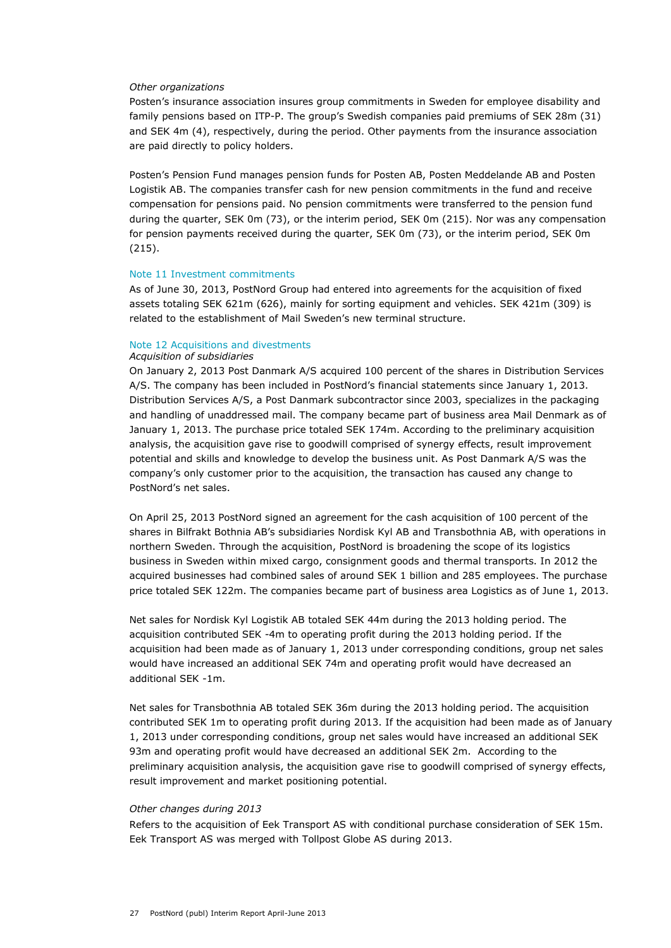#### *Other organizations*

Posten's insurance association insures group commitments in Sweden for employee disability and family pensions based on ITP-P. The group's Swedish companies paid premiums of SEK 28m (31) and SEK 4m (4), respectively, during the period. Other payments from the insurance association are paid directly to policy holders.

Posten's Pension Fund manages pension funds for Posten AB, Posten Meddelande AB and Posten Logistik AB. The companies transfer cash for new pension commitments in the fund and receive compensation for pensions paid. No pension commitments were transferred to the pension fund during the quarter, SEK 0m (73), or the interim period, SEK 0m (215). Nor was any compensation for pension payments received during the quarter, SEK 0m (73), or the interim period, SEK 0m (215).

#### Note 11 Investment commitments

As of June 30, 2013, PostNord Group had entered into agreements for the acquisition of fixed assets totaling SEK 621m (626), mainly for sorting equipment and vehicles. SEK 421m (309) is related to the establishment of Mail Sweden's new terminal structure.

### Note 12 Acquisitions and divestments

#### *Acquisition of subsidiaries*

On January 2, 2013 Post Danmark A/S acquired 100 percent of the shares in Distribution Services A/S. The company has been included in PostNord's financial statements since January 1, 2013. Distribution Services A/S, a Post Danmark subcontractor since 2003, specializes in the packaging and handling of unaddressed mail. The company became part of business area Mail Denmark as of January 1, 2013. The purchase price totaled SEK 174m. According to the preliminary acquisition analysis, the acquisition gave rise to goodwill comprised of synergy effects, result improvement potential and skills and knowledge to develop the business unit. As Post Danmark A/S was the company's only customer prior to the acquisition, the transaction has caused any change to PostNord's net sales.

On April 25, 2013 PostNord signed an agreement for the cash acquisition of 100 percent of the shares in Bilfrakt Bothnia AB's subsidiaries Nordisk Kyl AB and Transbothnia AB, with operations in northern Sweden. Through the acquisition, PostNord is broadening the scope of its logistics business in Sweden within mixed cargo, consignment goods and thermal transports. In 2012 the acquired businesses had combined sales of around SEK 1 billion and 285 employees. The purchase price totaled SEK 122m. The companies became part of business area Logistics as of June 1, 2013.

Net sales for Nordisk Kyl Logistik AB totaled SEK 44m during the 2013 holding period. The acquisition contributed SEK -4m to operating profit during the 2013 holding period. If the acquisition had been made as of January 1, 2013 under corresponding conditions, group net sales would have increased an additional SEK 74m and operating profit would have decreased an additional SEK -1m.

Net sales for Transbothnia AB totaled SEK 36m during the 2013 holding period. The acquisition contributed SEK 1m to operating profit during 2013. If the acquisition had been made as of January 1, 2013 under corresponding conditions, group net sales would have increased an additional SEK 93m and operating profit would have decreased an additional SEK 2m. According to the preliminary acquisition analysis, the acquisition gave rise to goodwill comprised of synergy effects, result improvement and market positioning potential.

#### *Other changes during 2013*

Refers to the acquisition of Eek Transport AS with conditional purchase consideration of SEK 15m. Eek Transport AS was merged with Tollpost Globe AS during 2013.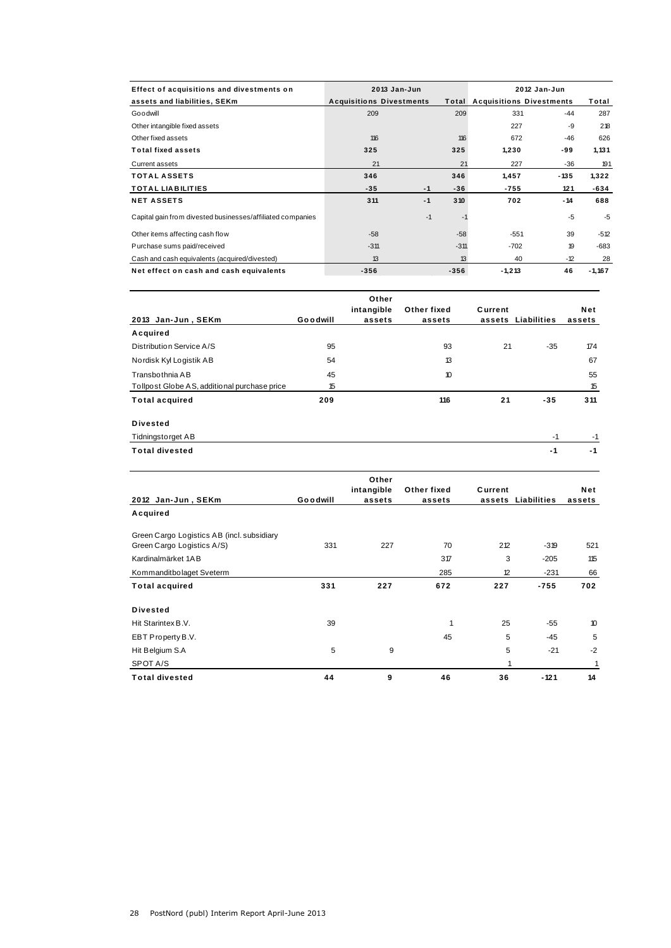| Effect of acquisitions and divestments on                  |                                 | $2013$ Jan-Jun |        | 2012 Jan-Jun                          |        |          |  |
|------------------------------------------------------------|---------------------------------|----------------|--------|---------------------------------------|--------|----------|--|
| assets and liabilities, SEKm                               | <b>Acquisitions Divestments</b> |                |        | <b>Total Acquisitions Divestments</b> | Total  |          |  |
| Goodwill                                                   | 209                             |                | 209    | 331                                   | $-44$  | 287      |  |
| Other intangible fixed assets                              |                                 |                |        | 227                                   | -9     | 218      |  |
| Other fixed assets                                         | 116                             |                | 116    | 672                                   | $-46$  | 626      |  |
| <b>Total fixed assets</b>                                  | 325                             |                | 325    | 1,230                                 | -99    | 1,131    |  |
| Current assets                                             | 21                              |                | 21     | 227                                   | $-36$  | 191      |  |
| <b>TOTAL ASSETS</b>                                        | 346                             |                | 346    | 1,457                                 | $-135$ | 1,322    |  |
| <b>TOTAL LIABILITIES</b>                                   | $-35$                           | $-1$           | $-36$  | $-755$                                | 121    | $-634$   |  |
| <b>NET ASSETS</b>                                          | 311                             | $-1$           | 310    | 702                                   | $-14$  | 688      |  |
| Capital gain from divested businesses/affiliated companies |                                 | $-1$           | $-1$   |                                       | $-5$   | $-5$     |  |
| Other items affecting cash flow                            | $-58$                           |                | $-58$  | $-551$                                | 39     | $-512$   |  |
| Purchase sums paid/received                                | $-311$                          |                | $-311$ | $-702$                                | 19     | $-683$   |  |
| Cash and cash equivalents (acquired/divested)              | 13                              |                | 13     | 40                                    | $-12$  | 28       |  |
| Net effect on cash and cash equivalents                    | $-356$                          |                | $-356$ | $-1,213$                              | 46     | $-1,167$ |  |

|                                              |          | Other      |             |         |             |        |
|----------------------------------------------|----------|------------|-------------|---------|-------------|--------|
|                                              |          | intangible | Other fixed | Current |             | Net    |
| 2013 Jan-Jun, SEKm                           | Goodwill | assets     | assets      | assets  | Liabilities | assets |
| Acquired                                     |          |            |             |         |             |        |
| Distribution Service A/S                     | 95       |            | 93          | 21      | $-35$       | 174    |
| Nordisk Kyl Logistik AB                      | 54       |            | 13          |         |             | 67     |
| Transbothnia AB                              | 45       |            | 10          |         |             | 55     |
| Tollpost Globe AS, additional purchase price | 15       |            |             |         |             | 15     |
| <b>Total acquired</b>                        | 209      |            | 116         | 21      | $-35$       | 311    |
| <b>Divested</b>                              |          |            |             |         |             |        |
| <b>Tidningstorget AB</b>                     |          |            |             |         | $-1$        | $-1$   |
| <b>Total divested</b>                        |          |            |             |         | $-1$        | $-1$   |

|                                                                          |          | Other<br>intangible | Other fixed | Current |             | Net    |
|--------------------------------------------------------------------------|----------|---------------------|-------------|---------|-------------|--------|
| 2012 Jan-Jun, SEKm                                                       | Goodwill | assets              | assets      | assets  | Liabilities | assets |
| Acquired                                                                 |          |                     |             |         |             |        |
| Green Cargo Logistics AB (incl. subsidiary<br>Green Cargo Logistics A/S) | 331      | 227                 | 70          | 212     | $-319$      | 521    |
| Kardinalmärket 1AB                                                       |          |                     | 317         | 3       | $-205$      | 115    |
| Kommanditbolaget Sveterm                                                 |          |                     | 285         | 12      | $-231$      | 66     |
| <b>Total acquired</b>                                                    | 331      | 227                 | 672         | 227     | $-755$      | 702    |
| <b>Divested</b>                                                          |          |                     |             |         |             |        |
| Hit Starintex B.V.                                                       | 39       |                     | 1           | 25      | $-55$       | 10     |
| EBT Property B.V.                                                        |          |                     | 45          | 5       | $-45$       | 5      |
| Hit Belgium S.A                                                          | 5        | 9                   |             | 5       | $-21$       | $-2$   |
| SPOT A/S                                                                 |          |                     |             | 1       |             | 1      |
| <b>Total divested</b>                                                    | 44       | 9                   | 46          | 36      | $-121$      | 14     |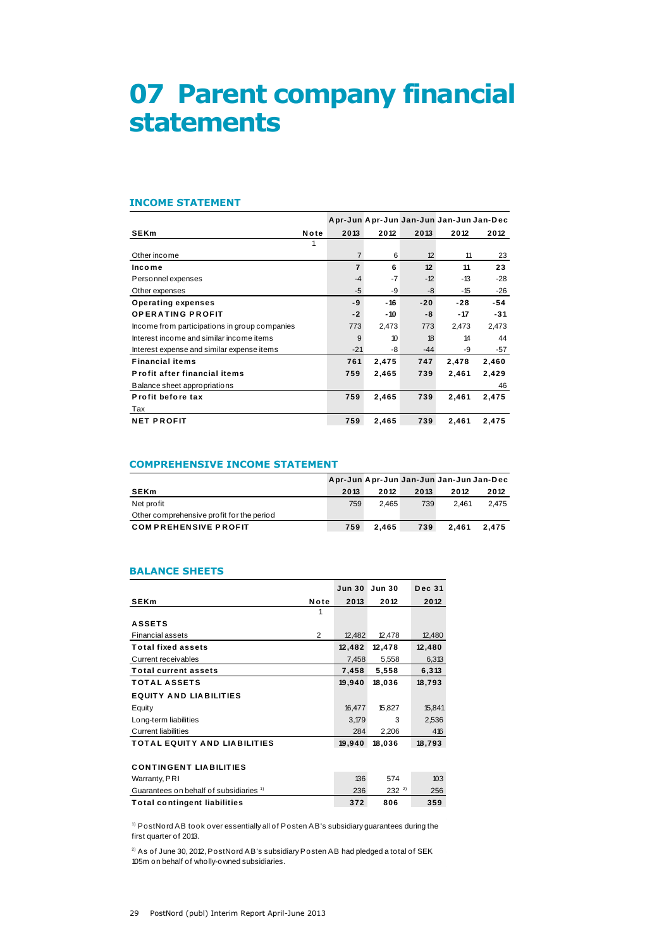# **07 Parent company financial statements**

#### **INCOME STATEMENT**

| <b>INCOME STATEMENT</b>                       |      |                |       |       |                                         |       |
|-----------------------------------------------|------|----------------|-------|-------|-----------------------------------------|-------|
|                                               |      |                |       |       | Apr-Jun Apr-Jun Jan-Jun Jan-Jun Jan-Dec |       |
| <b>SEKm</b>                                   | Note | 2013           | 2012  | 2013  | 2012                                    | 2012  |
|                                               |      |                |       |       |                                         |       |
| Other income                                  |      | $\overline{7}$ | 6     | 12    | 11                                      | 23    |
| Income                                        |      | $\overline{7}$ | 6     | 12    | 11                                      | 23    |
| Personnel expenses                            |      | $-4$           | $-7$  | $-12$ | -13                                     | $-28$ |
| Other expenses                                |      | $-5$           | -9    | -8    | $-15$                                   | -26   |
| <b>Operating expenses</b>                     |      | -9             | $-16$ | $-20$ | $-28$                                   | -54   |
| <b>OPERATING PROFIT</b>                       |      | $-2$           | - 10  | -8    | $-17$                                   | $-31$ |
| Income from participations in group companies |      | 773            | 2,473 | 773   | 2,473                                   | 2,473 |
| Interest income and similar income items      |      | 9              | 10    | 18    | 14                                      | 44    |
| Interest expense and similar expense items    |      | $-21$          | -8    | $-44$ | -9                                      | $-57$ |
| <b>Financial items</b>                        |      | 761            | 2,475 | 747   | 2,478                                   | 2,460 |
| Profit after financial items                  |      | 759            | 2,465 | 739   | 2,461                                   | 2,429 |
| Balance sheet appropriations                  |      |                |       |       |                                         | 46    |
| Profit before tax                             |      | 759            | 2,465 | 739   | 2,461                                   | 2,475 |
| Tax                                           |      |                |       |       |                                         |       |
| <b>NET PROFIT</b>                             |      | 759            | 2,465 | 739   | 2,461                                   | 2,475 |

### **COMPREHENSIVE INCOME STATEMENT**

| <b>COMPREHENSIVE INCOME STATEMENT</b>     |      |       |      |                                         |       |  |  |
|-------------------------------------------|------|-------|------|-----------------------------------------|-------|--|--|
|                                           |      |       |      | Apr-Jun Apr-Jun Jan-Jun Jan-Jun Jan-Dec |       |  |  |
| <b>SEKm</b>                               | 2013 | 2012  | 2013 | 2012                                    | 2012  |  |  |
| Net profit                                | 759  | 2.465 | 739  | 2.461                                   | 2.475 |  |  |
| Other comprehensive profit for the period |      |       |      |                                         |       |  |  |
| <b>COMPREHENSIVE PROFIT</b>               | 759  | 2.465 | 739  | 2.461                                   | 2.475 |  |  |

#### **BALANCE SHEETS**

| <b>BALANCE SHEETS</b>                              |                |                   |               |               |
|----------------------------------------------------|----------------|-------------------|---------------|---------------|
|                                                    |                | Jun <sub>30</sub> | <b>Jun 30</b> | <b>Dec 31</b> |
| <b>SEKm</b>                                        | Note           | 2013              | 2012          | 2012          |
|                                                    | 1              |                   |               |               |
| <b>ASSETS</b>                                      |                |                   |               |               |
| <b>Financial assets</b>                            | $\overline{2}$ | 12,482            | 12,478        | 12,480        |
| <b>Total fixed assets</b>                          |                | 12,482            | 12,478        | 12,480        |
| Current receivables                                |                | 7,458             | 5,558         | 6,313         |
| <b>Total current assets</b>                        |                | 7,458             | 5,558         | 6,313         |
| <b>TOTAL ASSETS</b>                                |                | 19,940            | 18,036        | 18,793        |
| <b>EQUITY AND LIABILITIES</b>                      |                |                   |               |               |
| Equity                                             |                | 16,477            | 15,827        | 15,841        |
| Long-term liabilities                              |                | 3,179             | 3             | 2,536         |
| <b>Current liabilities</b>                         |                | 284               | 2,206         | 416           |
| <b>TOTAL EQUITY AND LIABILITIES</b>                |                | 19,940            | 18,036        | 18,793        |
|                                                    |                |                   |               |               |
| <b>CONTINGENT LIABILITIES</b>                      |                |                   |               |               |
| Warranty, PRI                                      |                | 136               | 574           | 103           |
| Guarantees on behalf of subsidiaries <sup>1)</sup> |                | 236               | $232^{2}$     | 256           |
| <b>Total contingent liabilities</b>                |                | 372               | 806           | 359           |

 $1)$  PostNord AB took over essentially all of Posten AB's subsidiary guarantees during the first quarter of 2013.

 $^{2)}$  As of June 30, 2012, PostNord AB's subsidiary Posten AB had pledged a total of SEK 105m on behalf of wholly-owned subsidiaries.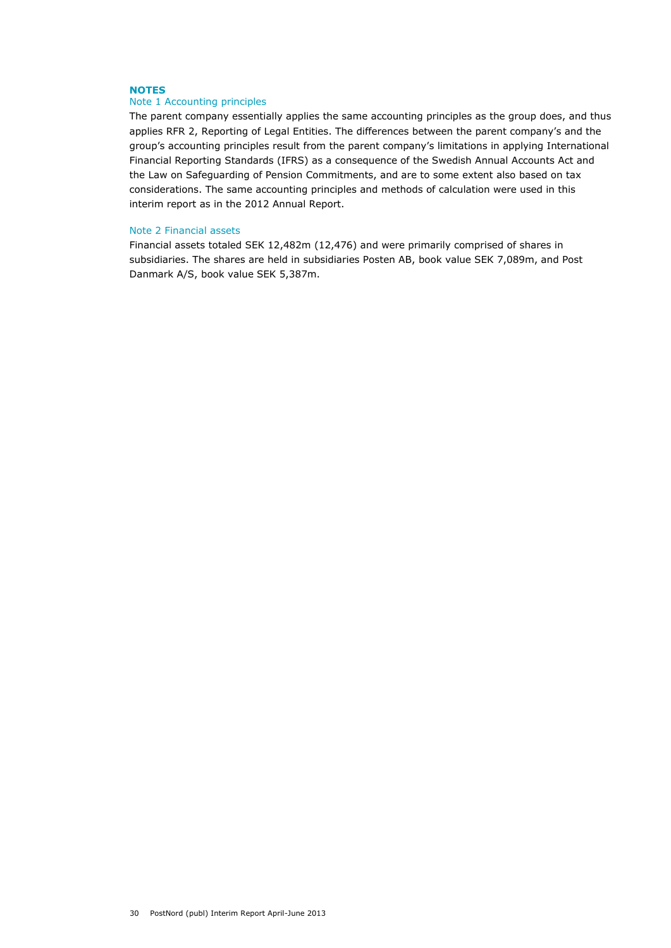### **NOTES**

# Note 1 Accounting principles

The parent company essentially applies the same accounting principles as the group does, and thus applies RFR 2, Reporting of Legal Entities. The differences between the parent company's and the group's accounting principles result from the parent company's limitations in applying International Financial Reporting Standards (IFRS) as a consequence of the Swedish Annual Accounts Act and the Law on Safeguarding of Pension Commitments, and are to some extent also based on tax considerations. The same accounting principles and methods of calculation were used in this interim report as in the 2012 Annual Report.

#### Note 2 Financial assets

Financial assets totaled SEK 12,482m (12,476) and were primarily comprised of shares in subsidiaries. The shares are held in subsidiaries Posten AB, book value SEK 7,089m, and Post Danmark A/S, book value SEK 5,387m.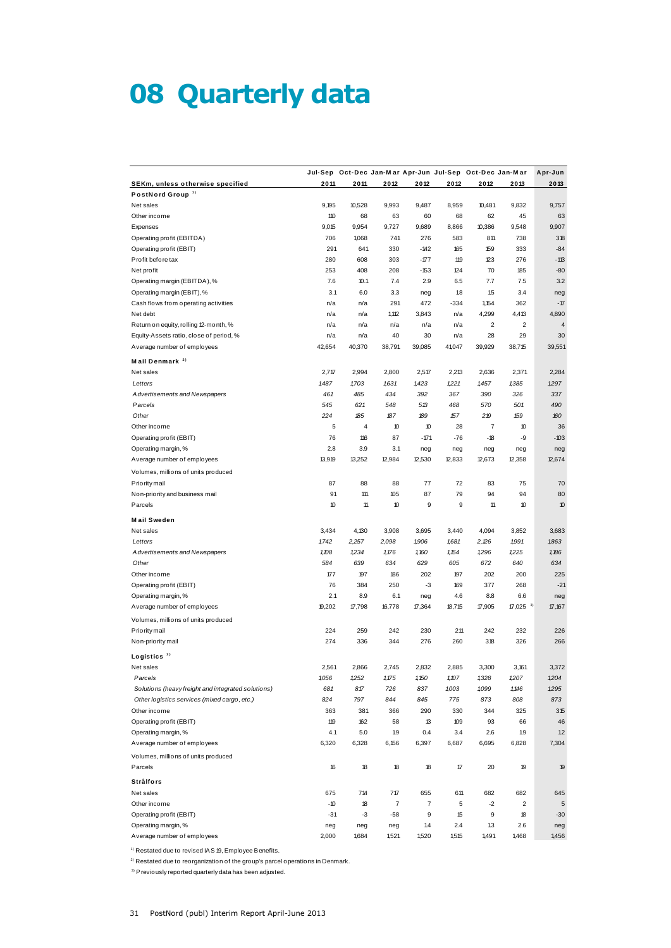# **08 Quarterly data**

|                                                    |              |              | Jul-Sep Oct-Dec Jan-Mar Apr-Jun Jul-Sep Oct-Dec Jan-Mar |                         |        |                |                         | Apr-Jun      |
|----------------------------------------------------|--------------|--------------|---------------------------------------------------------|-------------------------|--------|----------------|-------------------------|--------------|
| SEKm, unless otherwise specified                   | 2011         | 2011         | 2012                                                    | 2012                    | 2012   | 2012           | 2013                    | 2013         |
| PostNord Group <sup>1)</sup>                       |              |              |                                                         |                         |        |                |                         |              |
| Net sales                                          | 9,195        | 10,528       | 9,993                                                   | 9,487                   | 8,959  | 10,481         | 9,832                   | 9,757        |
| Other income                                       | 110          | 68           | 63                                                      | 60                      | 68     | 62             | 45                      | 63           |
| Expenses                                           | 9,015        | 9,954        | 9,727                                                   | 9,689                   | 8,866  | 10,386         | 9,548                   | 9,907        |
| Operating profit (EBITDA)                          | 706          | 1,068        | 741                                                     | 276                     | 583    | 811            | 738                     | 318          |
| Operating profit (EBIT)                            | 291          | 641          | 330                                                     | $-142$                  | 165    | 159            | 333                     | $-84$        |
| Profit before tax                                  | 280          | 608          | 303                                                     | $-177$                  | 119    | 123            | 276                     | $-113$       |
| Net profit                                         | 253          | 408          | 208                                                     | $-153$                  | 124    | 70             | 185                     | $-80$        |
| Operating margin (EBITDA), %                       | 7.6          | 10.1         | 7.4                                                     | 2.9                     | 6.5    | 7.7            | 7.5                     | 3.2          |
| Operating margin (EBIT), %                         | 3.1          | 6.0          | 3.3                                                     | neg                     | 1.8    | 1.5            | 3.4                     | neg          |
| Cash flows from operating activities               | n/a          | n/a          | 291                                                     | 472                     | $-334$ | 1,154          | 362                     | $-17$        |
| Net debt                                           | n/a          | n/a          | 1,112                                                   | 3,843                   | n/a    | 4,299          | 4,413                   | 4,890        |
| Return on equity, rolling 12-month, %              | n/a          | n/a          | n/a                                                     | n/a                     | n/a    | 2              | 2                       | 4            |
| Equity-Assets ratio, close of period, %            | n/a          | n/a          | 40                                                      | 30                      | n/a    | 28             | 29                      | 30           |
| Average number of employees                        | 42,654       | 40,370       | 38,791                                                  | 39,085                  | 41,047 | 39,929         | 38,715                  | 39,551       |
| Mail Denmark <sup>2)</sup>                         |              |              |                                                         |                         |        |                |                         |              |
| Net sales                                          | 2,717        | 2,994        | 2,800                                                   | 2,517                   | 2,213  | 2,636          | 2,371                   | 2,284        |
| Letters                                            | 1487         | 1,703        | 1631                                                    | 1,423                   | 1,221  | 1457           | 1,385                   | 1,297        |
| Advertisements and Newspapers                      | 461          | 485          | 434                                                     | 392                     | 367    | 390            | 326                     | 337          |
| Parcels                                            | 545          | 621          | 548                                                     | 513                     | 468    | 570            | 501                     | 490          |
| Other                                              | 224          | 185          | 187                                                     | 189                     | 157    | 219            | 159                     | 160          |
| Other income                                       | 5            | 4            | 10                                                      | 10                      | 28     | $\overline{7}$ | 10                      | 36           |
| Operating profit (EBIT)                            | 76           | 116          | 87                                                      | $-171$                  | -76    | $-18$          | -9                      | $-103$       |
| Operating margin, %                                | 2.8          | 3.9          | 3.1                                                     | neg                     | neg    | neg            | neg                     | neg          |
| Average number of employees                        | 13,919       | 13,252       | 12,984                                                  | 12,530                  | 12,833 | 12,673         | 12,358                  | 12,674       |
|                                                    |              |              |                                                         |                         |        |                |                         |              |
| Volumes, millions of units produced                |              |              |                                                         |                         |        |                |                         |              |
| Priority mail                                      | 87           | 88           | 88                                                      | 77                      | 72     | 83             | 75                      | 70           |
| Non-priority and business mail                     | 91           | 111          | 105                                                     | 87                      | 79     | 94             | 94                      | 80           |
| Parcels                                            | 10           | 11           | 10                                                      | 9                       | 9      | 11             | 10                      | 10           |
| <b>Mail Sweden</b>                                 |              |              |                                                         |                         |        |                |                         |              |
| Net sales                                          | 3,434        | 4,130        | 3,908                                                   | 3,695                   | 3,440  | 4,094          | 3,852                   | 3,683        |
| Letters                                            | 1742         | 2,257        | 2,098                                                   | 1,906                   | 1,681  | 2,26           | 1,991                   | 1,863        |
| Advertisements and Newspapers                      | 1,108        | 1,234        | 1,176                                                   | 1,160                   | 1,154  | 1296           | 1,225                   | 1,186        |
| Other                                              | 584          | 639          | 634                                                     | 629                     | 605    | 672            | 640                     | 634          |
| Other income                                       | 177          | 197          | 186                                                     | 202                     | 197    | 202            | 200                     | 225          |
| Operating profit (EBIT)                            | 76           | 384          | 250                                                     | -3                      | 169    | 377            | 268                     | $-21$        |
| Operating margin, %                                | 2.1          | 8.9          | 6.1                                                     | neg                     | 4.6    | 8.8            | 6.6                     | neg          |
| Average number of employees                        | 19,202       | 17,798       | 16,778                                                  | 17,364                  | 18,715 | 17,905         | $17,025$ <sup>3)</sup>  | 17,167       |
| Volumes, millions of units produced                |              |              |                                                         |                         |        |                |                         |              |
| Priority mail                                      | 224          | 259          | 242                                                     | 230                     | 211    | 242            | 232                     | 226          |
| Non-priority mail                                  | 274          | 336          | 344                                                     | 276                     | 260    | 318            | 326                     | 266          |
|                                                    |              |              |                                                         |                         |        |                |                         |              |
| Logistics <sup>2)</sup>                            |              |              |                                                         |                         |        |                |                         |              |
| Net sales                                          | 2,561        | 2,866        | 2,745                                                   | 2,832                   | 2,885  | 3,300          | 3,161                   | 3,372        |
| Parcels                                            | 1056         | 1,252        | 1,175                                                   | 1,150                   | 1,107  | 1,328          | 1,207                   | 1,204        |
| Solutions (heavy freight and integrated solutions) | 681          | 817          | 726                                                     | 837                     | 1,003  | 1099           | 1,146                   | 1,295        |
| Other logistics services (mixed cargo, etc.)       | 824          | 797          | 844                                                     | 845                     | 775    | 873            | 808                     | 873          |
| Other income                                       | 363          | 381          | 366                                                     | 290                     | 330    | 344            | 325                     | 315          |
| Operating profit (EBIT)                            | 119          | 162          | 58                                                      | 13                      | 109    | 93             | 66                      | 46           |
| Operating margin, %                                | 4.1          | 5.0          | 1.9                                                     | 0.4                     | 3.4    | 2.6            | 1.9                     | 1.2          |
| Average number of employees                        | 6,320        | 6,328        | 6,156                                                   | 6,397                   | 6,687  | 6,695          | 6,828                   | 7,304        |
| Volumes, millions of units produced<br>Parcels     | 16           | 18           | 18                                                      | 18                      | 17     | 20             | 19                      | 19           |
| Strålfors                                          |              |              |                                                         |                         |        |                |                         |              |
| Net sales                                          |              | 714          | 717                                                     | 655                     | 611    | 682            | 682                     |              |
|                                                    | 675<br>$-10$ |              | $\overline{7}$                                          | $\overline{\mathbf{7}}$ | 5      |                | $\overline{\mathbf{c}}$ | 645          |
| Other income<br>Operating profit (EBIT)            | $-31$        | 18<br>-3     | $-58$                                                   | 9                       | 15     | -2<br>9        | 18                      | 5<br>$-30$   |
| Operating margin, %                                |              |              |                                                         | 1.4                     | 2.4    | 1.3            | 2.6                     |              |
| Average number of employees                        | neg<br>2,000 | neg<br>1,684 | neg<br>1,521                                            | 1,520                   | 1,515  | 1,491          | 1,468                   | neg<br>1,456 |
|                                                    |              |              |                                                         |                         |        |                |                         |              |

 $1)$  Restated due to revised IAS 19, Employee Benefits.

<sup>1)</sup> Restated due to revised IAS 19, Employee Benefits.<br><sup>2)</sup> Restated due to reorganization of the group's parcel operations in Denmark. <sup>2)</sup> Restated due to reorganization of the group's parcel of all all previously reported quarterly data has been adjusted.<br><sup>3)</sup> Previously reported quarterly data has been adjusted.